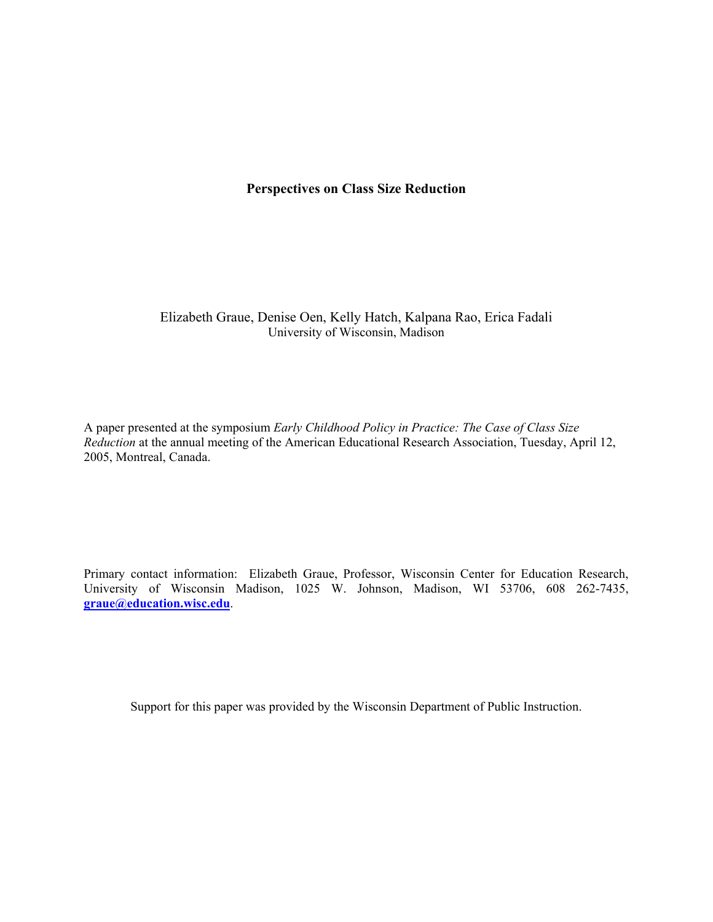# **Perspectives on Class Size Reduction**

Elizabeth Graue, Denise Oen, Kelly Hatch, Kalpana Rao, Erica Fadali University of Wisconsin, Madison

A paper presented at the symposium *Early Childhood Policy in Practice: The Case of Class Size Reduction* at the annual meeting of the American Educational Research Association, Tuesday, April 12, 2005, Montreal, Canada.

Primary contact information: Elizabeth Graue, Professor, Wisconsin Center for Education Research, University of Wisconsin Madison, 1025 W. Johnson, Madison, WI 53706, 608 262-7435, **graue@education.wisc.edu**.

Support for this paper was provided by the Wisconsin Department of Public Instruction.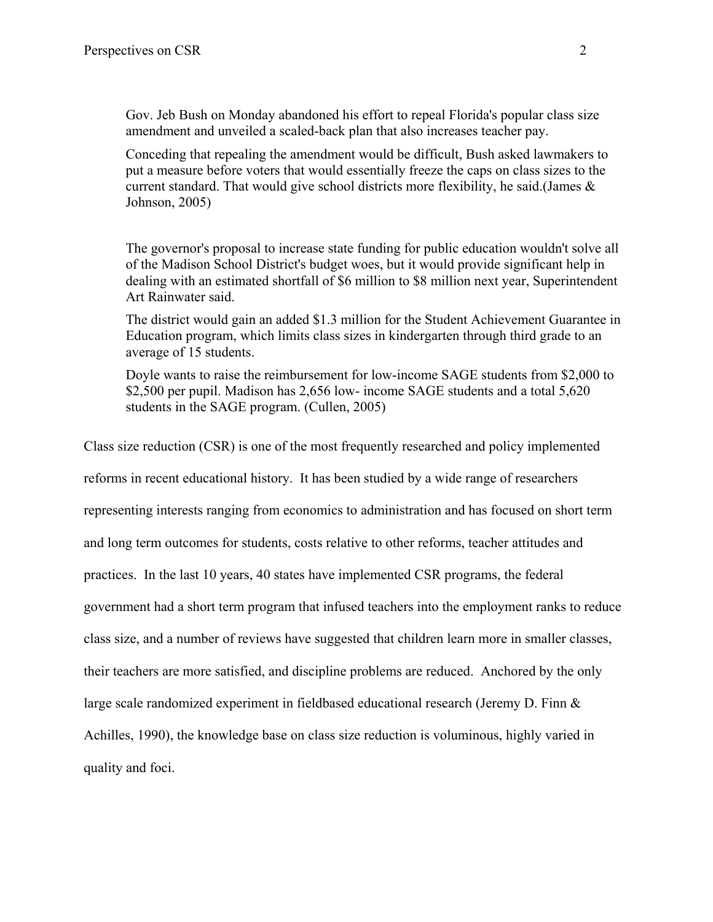Gov. Jeb Bush on Monday abandoned his effort to repeal Florida's popular class size amendment and unveiled a scaled-back plan that also increases teacher pay.

Conceding that repealing the amendment would be difficult, Bush asked lawmakers to put a measure before voters that would essentially freeze the caps on class sizes to the current standard. That would give school districts more flexibility, he said.(James & Johnson, 2005)

The governor's proposal to increase state funding for public education wouldn't solve all of the Madison School District's budget woes, but it would provide significant help in dealing with an estimated shortfall of \$6 million to \$8 million next year, Superintendent Art Rainwater said.

The district would gain an added \$1.3 million for the Student Achievement Guarantee in Education program, which limits class sizes in kindergarten through third grade to an average of 15 students.

Doyle wants to raise the reimbursement for low-income SAGE students from \$2,000 to \$2,500 per pupil. Madison has 2,656 low- income SAGE students and a total 5,620 students in the SAGE program. (Cullen, 2005)

Class size reduction (CSR) is one of the most frequently researched and policy implemented reforms in recent educational history. It has been studied by a wide range of researchers representing interests ranging from economics to administration and has focused on short term and long term outcomes for students, costs relative to other reforms, teacher attitudes and practices. In the last 10 years, 40 states have implemented CSR programs, the federal government had a short term program that infused teachers into the employment ranks to reduce class size, and a number of reviews have suggested that children learn more in smaller classes, their teachers are more satisfied, and discipline problems are reduced. Anchored by the only large scale randomized experiment in fieldbased educational research (Jeremy D. Finn & Achilles, 1990), the knowledge base on class size reduction is voluminous, highly varied in quality and foci.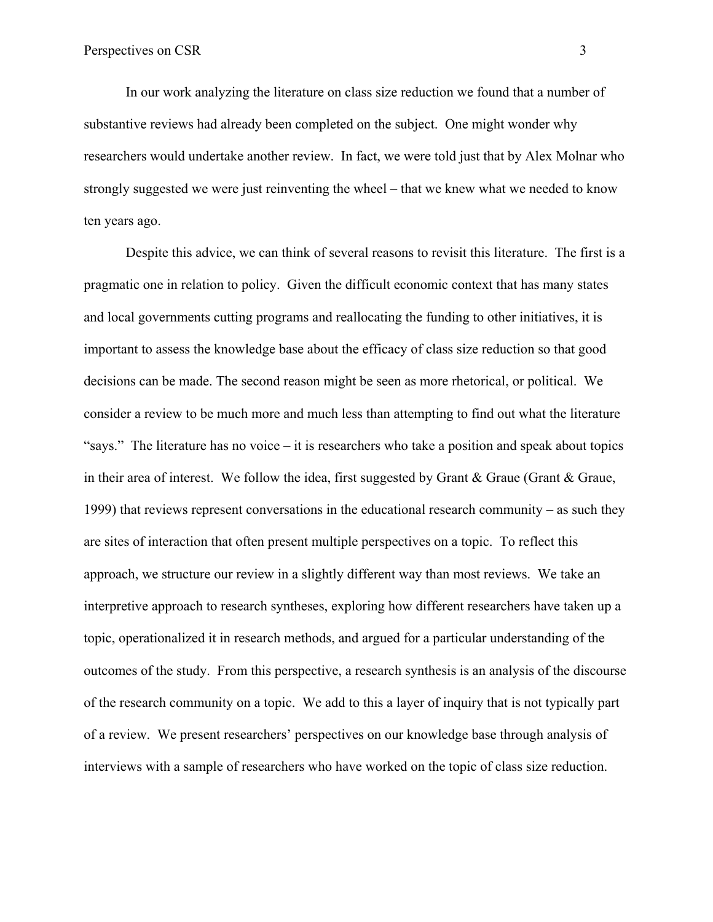In our work analyzing the literature on class size reduction we found that a number of substantive reviews had already been completed on the subject. One might wonder why researchers would undertake another review. In fact, we were told just that by Alex Molnar who strongly suggested we were just reinventing the wheel – that we knew what we needed to know ten years ago.

Despite this advice, we can think of several reasons to revisit this literature. The first is a pragmatic one in relation to policy. Given the difficult economic context that has many states and local governments cutting programs and reallocating the funding to other initiatives, it is important to assess the knowledge base about the efficacy of class size reduction so that good decisions can be made. The second reason might be seen as more rhetorical, or political. We consider a review to be much more and much less than attempting to find out what the literature "says." The literature has no voice  $-$  it is researchers who take a position and speak about topics in their area of interest. We follow the idea, first suggested by Grant & Graue (Grant & Graue, 1999) that reviews represent conversations in the educational research community – as such they are sites of interaction that often present multiple perspectives on a topic. To reflect this approach, we structure our review in a slightly different way than most reviews. We take an interpretive approach to research syntheses, exploring how different researchers have taken up a topic, operationalized it in research methods, and argued for a particular understanding of the outcomes of the study. From this perspective, a research synthesis is an analysis of the discourse of the research community on a topic. We add to this a layer of inquiry that is not typically part of a review. We present researchers' perspectives on our knowledge base through analysis of interviews with a sample of researchers who have worked on the topic of class size reduction.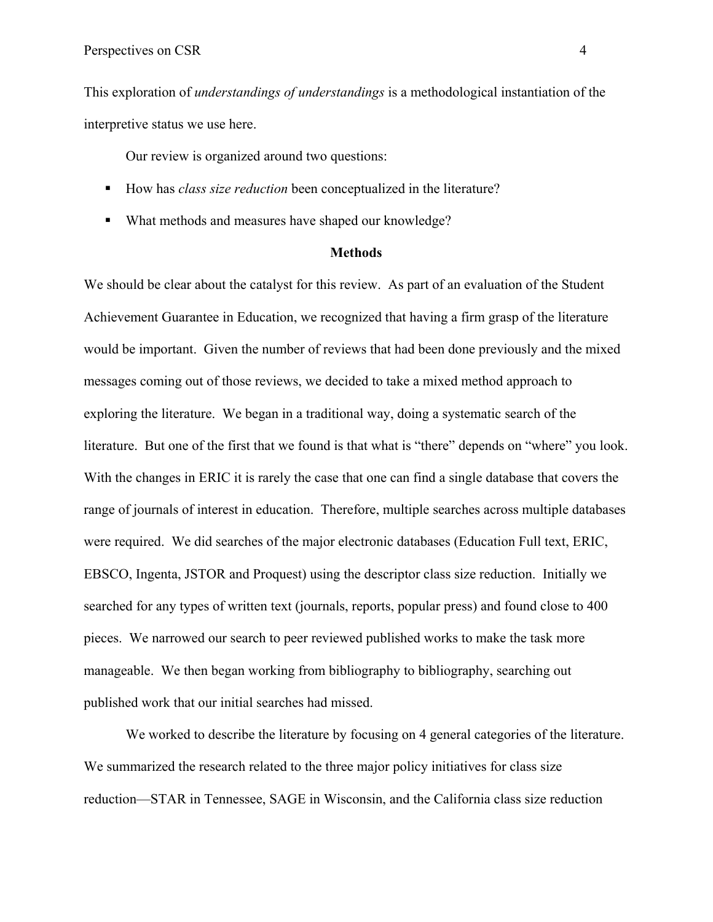This exploration of *understandings of understandings* is a methodological instantiation of the interpretive status we use here.

Our review is organized around two questions:

- How has *class size reduction* been conceptualized in the literature?
- What methods and measures have shaped our knowledge?

#### **Methods**

We should be clear about the catalyst for this review. As part of an evaluation of the Student Achievement Guarantee in Education, we recognized that having a firm grasp of the literature would be important. Given the number of reviews that had been done previously and the mixed messages coming out of those reviews, we decided to take a mixed method approach to exploring the literature. We began in a traditional way, doing a systematic search of the literature. But one of the first that we found is that what is "there" depends on "where" you look. With the changes in ERIC it is rarely the case that one can find a single database that covers the range of journals of interest in education. Therefore, multiple searches across multiple databases were required. We did searches of the major electronic databases (Education Full text, ERIC, EBSCO, Ingenta, JSTOR and Proquest) using the descriptor class size reduction. Initially we searched for any types of written text (journals, reports, popular press) and found close to 400 pieces. We narrowed our search to peer reviewed published works to make the task more manageable. We then began working from bibliography to bibliography, searching out published work that our initial searches had missed.

We worked to describe the literature by focusing on 4 general categories of the literature. We summarized the research related to the three major policy initiatives for class size reduction—STAR in Tennessee, SAGE in Wisconsin, and the California class size reduction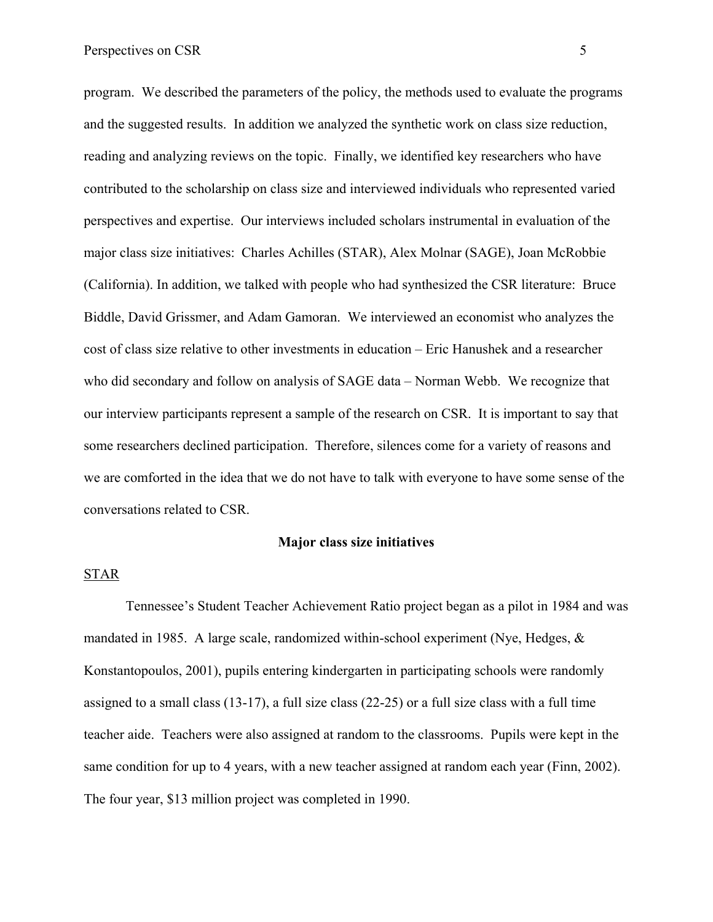program. We described the parameters of the policy, the methods used to evaluate the programs and the suggested results. In addition we analyzed the synthetic work on class size reduction, reading and analyzing reviews on the topic. Finally, we identified key researchers who have contributed to the scholarship on class size and interviewed individuals who represented varied perspectives and expertise. Our interviews included scholars instrumental in evaluation of the major class size initiatives: Charles Achilles (STAR), Alex Molnar (SAGE), Joan McRobbie (California). In addition, we talked with people who had synthesized the CSR literature: Bruce Biddle, David Grissmer, and Adam Gamoran. We interviewed an economist who analyzes the cost of class size relative to other investments in education – Eric Hanushek and a researcher who did secondary and follow on analysis of SAGE data – Norman Webb. We recognize that our interview participants represent a sample of the research on CSR. It is important to say that some researchers declined participation. Therefore, silences come for a variety of reasons and we are comforted in the idea that we do not have to talk with everyone to have some sense of the conversations related to CSR.

#### **Major class size initiatives**

### STAR

Tennessee's Student Teacher Achievement Ratio project began as a pilot in 1984 and was mandated in 1985. A large scale, randomized within-school experiment (Nye, Hedges,  $\&$ Konstantopoulos, 2001), pupils entering kindergarten in participating schools were randomly assigned to a small class (13-17), a full size class (22-25) or a full size class with a full time teacher aide. Teachers were also assigned at random to the classrooms. Pupils were kept in the same condition for up to 4 years, with a new teacher assigned at random each year (Finn, 2002). The four year, \$13 million project was completed in 1990.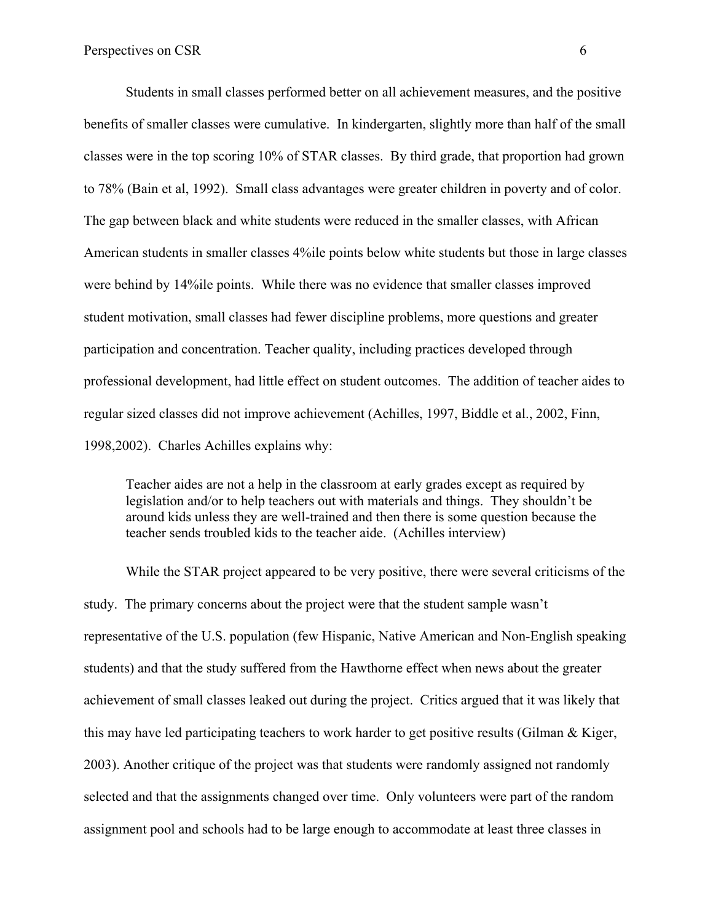Students in small classes performed better on all achievement measures, and the positive benefits of smaller classes were cumulative. In kindergarten, slightly more than half of the small classes were in the top scoring 10% of STAR classes. By third grade, that proportion had grown to 78% (Bain et al, 1992). Small class advantages were greater children in poverty and of color. The gap between black and white students were reduced in the smaller classes, with African American students in smaller classes 4%ile points below white students but those in large classes were behind by 14%ile points. While there was no evidence that smaller classes improved student motivation, small classes had fewer discipline problems, more questions and greater participation and concentration. Teacher quality, including practices developed through professional development, had little effect on student outcomes. The addition of teacher aides to regular sized classes did not improve achievement (Achilles, 1997, Biddle et al., 2002, Finn, 1998,2002). Charles Achilles explains why:

Teacher aides are not a help in the classroom at early grades except as required by legislation and/or to help teachers out with materials and things. They shouldn't be around kids unless they are well-trained and then there is some question because the teacher sends troubled kids to the teacher aide. (Achilles interview)

While the STAR project appeared to be very positive, there were several criticisms of the study. The primary concerns about the project were that the student sample wasn't representative of the U.S. population (few Hispanic, Native American and Non-English speaking students) and that the study suffered from the Hawthorne effect when news about the greater achievement of small classes leaked out during the project. Critics argued that it was likely that this may have led participating teachers to work harder to get positive results (Gilman & Kiger, 2003). Another critique of the project was that students were randomly assigned not randomly selected and that the assignments changed over time. Only volunteers were part of the random assignment pool and schools had to be large enough to accommodate at least three classes in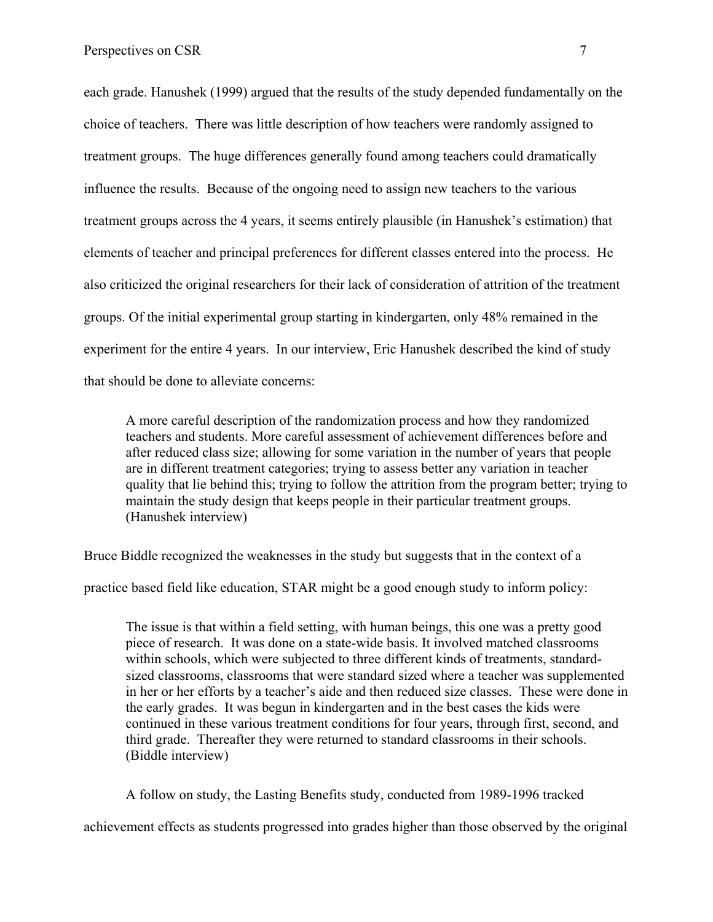each grade. Hanushek (1999) argued that the results of the study depended fundamentally on the choice of teachers. There was little description of how teachers were randomly assigned to treatment groups. The huge differences generally found among teachers could dramatically influence the results. Because of the ongoing need to assign new teachers to the various treatment groups across the 4 years, it seems entirely plausible (in Hanushek's estimation) that elements of teacher and principal preferences for different classes entered into the process. He also criticized the original researchers for their lack of consideration of attrition of the treatment groups. Of the initial experimental group starting in kindergarten, only 48% remained in the experiment for the entire 4 years. In our interview, Eric Hanushek described the kind of study that should be done to alleviate concerns:

A more careful description of the randomization process and how they randomized teachers and students. More careful assessment of achievement differences before and after reduced class size; allowing for some variation in the number of years that people are in different treatment categories; trying to assess better any variation in teacher quality that lie behind this; trying to follow the attrition from the program better; trying to maintain the study design that keeps people in their particular treatment groups. (Hanushek interview)

Bruce Biddle recognized the weaknesses in the study but suggests that in the context of a

practice based field like education, STAR might be a good enough study to inform policy:

The issue is that within a field setting, with human beings, this one was a pretty good piece of research. It was done on a state-wide basis. It involved matched classrooms within schools, which were subjected to three different kinds of treatments, standardsized classrooms, classrooms that were standard sized where a teacher was supplemented in her or her efforts by a teacher's aide and then reduced size classes. These were done in the early grades. It was begun in kindergarten and in the best cases the kids were continued in these various treatment conditions for four years, through first, second, and third grade. Thereafter they were returned to standard classrooms in their schools. (Biddle interview)

A follow on study, the Lasting Benefits study, conducted from 1989-1996 tracked

achievement effects as students progressed into grades higher than those observed by the original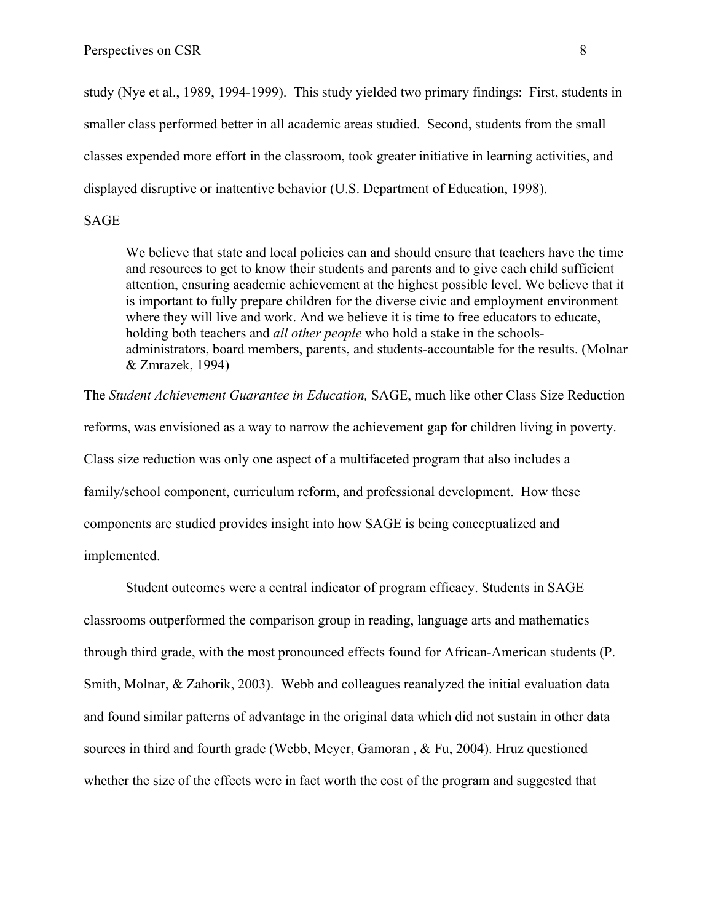study (Nye et al., 1989, 1994-1999). This study yielded two primary findings: First, students in smaller class performed better in all academic areas studied. Second, students from the small classes expended more effort in the classroom, took greater initiative in learning activities, and displayed disruptive or inattentive behavior (U.S. Department of Education, 1998).

### SAGE

We believe that state and local policies can and should ensure that teachers have the time and resources to get to know their students and parents and to give each child sufficient attention, ensuring academic achievement at the highest possible level. We believe that it is important to fully prepare children for the diverse civic and employment environment where they will live and work. And we believe it is time to free educators to educate, holding both teachers and *all other people* who hold a stake in the schoolsadministrators, board members, parents, and students-accountable for the results. (Molnar & Zmrazek, 1994)

The *Student Achievement Guarantee in Education,* SAGE, much like other Class Size Reduction reforms, was envisioned as a way to narrow the achievement gap for children living in poverty. Class size reduction was only one aspect of a multifaceted program that also includes a family/school component, curriculum reform, and professional development. How these components are studied provides insight into how SAGE is being conceptualized and implemented.

Student outcomes were a central indicator of program efficacy. Students in SAGE classrooms outperformed the comparison group in reading, language arts and mathematics through third grade, with the most pronounced effects found for African-American students (P. Smith, Molnar, & Zahorik, 2003). Webb and colleagues reanalyzed the initial evaluation data and found similar patterns of advantage in the original data which did not sustain in other data sources in third and fourth grade (Webb, Meyer, Gamoran , & Fu, 2004). Hruz questioned whether the size of the effects were in fact worth the cost of the program and suggested that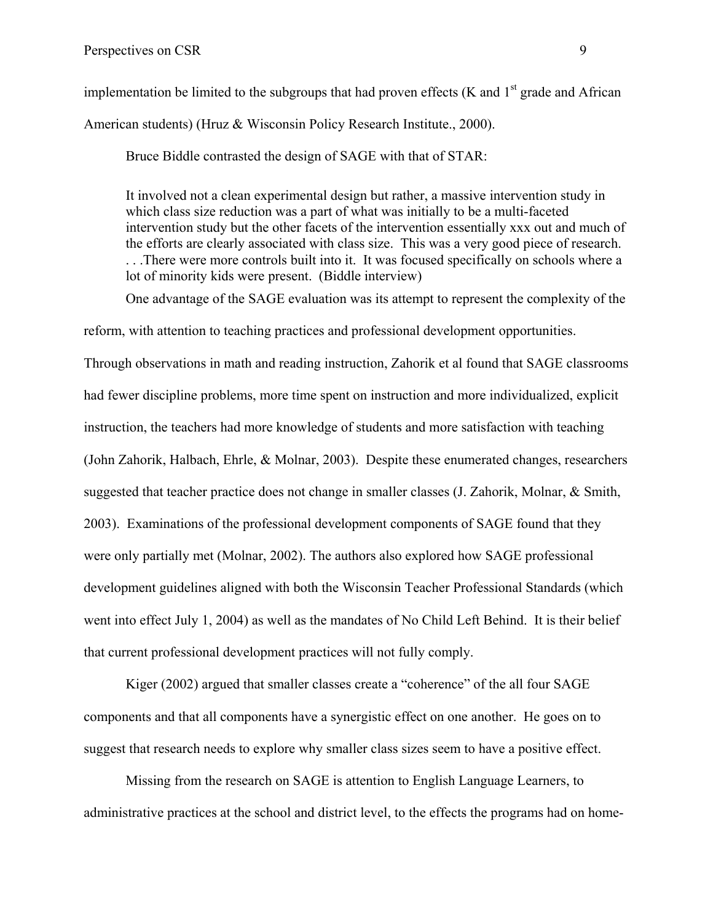implementation be limited to the subgroups that had proven effects (K and  $1<sup>st</sup>$  grade and African American students) (Hruz & Wisconsin Policy Research Institute., 2000).

Bruce Biddle contrasted the design of SAGE with that of STAR:

It involved not a clean experimental design but rather, a massive intervention study in which class size reduction was a part of what was initially to be a multi-faceted intervention study but the other facets of the intervention essentially xxx out and much of the efforts are clearly associated with class size. This was a very good piece of research. . . .There were more controls built into it. It was focused specifically on schools where a lot of minority kids were present. (Biddle interview)

One advantage of the SAGE evaluation was its attempt to represent the complexity of the

reform, with attention to teaching practices and professional development opportunities.

Through observations in math and reading instruction, Zahorik et al found that SAGE classrooms had fewer discipline problems, more time spent on instruction and more individualized, explicit instruction, the teachers had more knowledge of students and more satisfaction with teaching (John Zahorik, Halbach, Ehrle, & Molnar, 2003). Despite these enumerated changes, researchers suggested that teacher practice does not change in smaller classes (J. Zahorik, Molnar, & Smith, 2003). Examinations of the professional development components of SAGE found that they were only partially met (Molnar, 2002). The authors also explored how SAGE professional development guidelines aligned with both the Wisconsin Teacher Professional Standards (which went into effect July 1, 2004) as well as the mandates of No Child Left Behind. It is their belief that current professional development practices will not fully comply.

Kiger (2002) argued that smaller classes create a "coherence" of the all four SAGE components and that all components have a synergistic effect on one another. He goes on to suggest that research needs to explore why smaller class sizes seem to have a positive effect.

Missing from the research on SAGE is attention to English Language Learners, to administrative practices at the school and district level, to the effects the programs had on home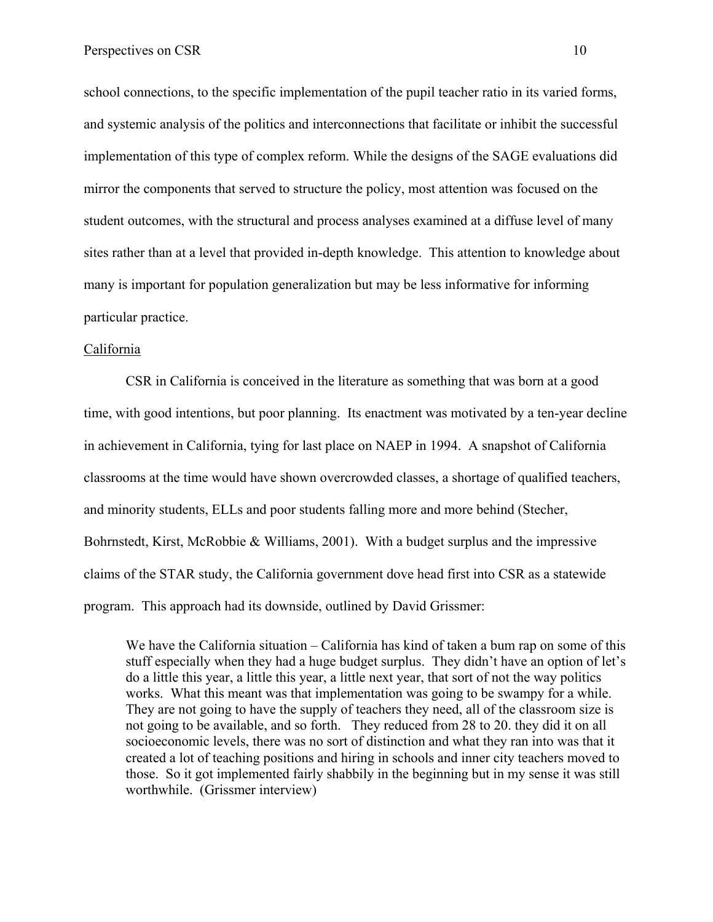school connections, to the specific implementation of the pupil teacher ratio in its varied forms, and systemic analysis of the politics and interconnections that facilitate or inhibit the successful implementation of this type of complex reform. While the designs of the SAGE evaluations did mirror the components that served to structure the policy, most attention was focused on the student outcomes, with the structural and process analyses examined at a diffuse level of many sites rather than at a level that provided in-depth knowledge. This attention to knowledge about many is important for population generalization but may be less informative for informing particular practice.

#### California

CSR in California is conceived in the literature as something that was born at a good time, with good intentions, but poor planning. Its enactment was motivated by a ten-year decline in achievement in California, tying for last place on NAEP in 1994. A snapshot of California classrooms at the time would have shown overcrowded classes, a shortage of qualified teachers, and minority students, ELLs and poor students falling more and more behind (Stecher, Bohrnstedt, Kirst, McRobbie & Williams, 2001). With a budget surplus and the impressive claims of the STAR study, the California government dove head first into CSR as a statewide program. This approach had its downside, outlined by David Grissmer:

We have the California situation – California has kind of taken a bum rap on some of this stuff especially when they had a huge budget surplus. They didn't have an option of let's do a little this year, a little this year, a little next year, that sort of not the way politics works. What this meant was that implementation was going to be swampy for a while. They are not going to have the supply of teachers they need, all of the classroom size is not going to be available, and so forth. They reduced from 28 to 20. they did it on all socioeconomic levels, there was no sort of distinction and what they ran into was that it created a lot of teaching positions and hiring in schools and inner city teachers moved to those. So it got implemented fairly shabbily in the beginning but in my sense it was still worthwhile. (Grissmer interview)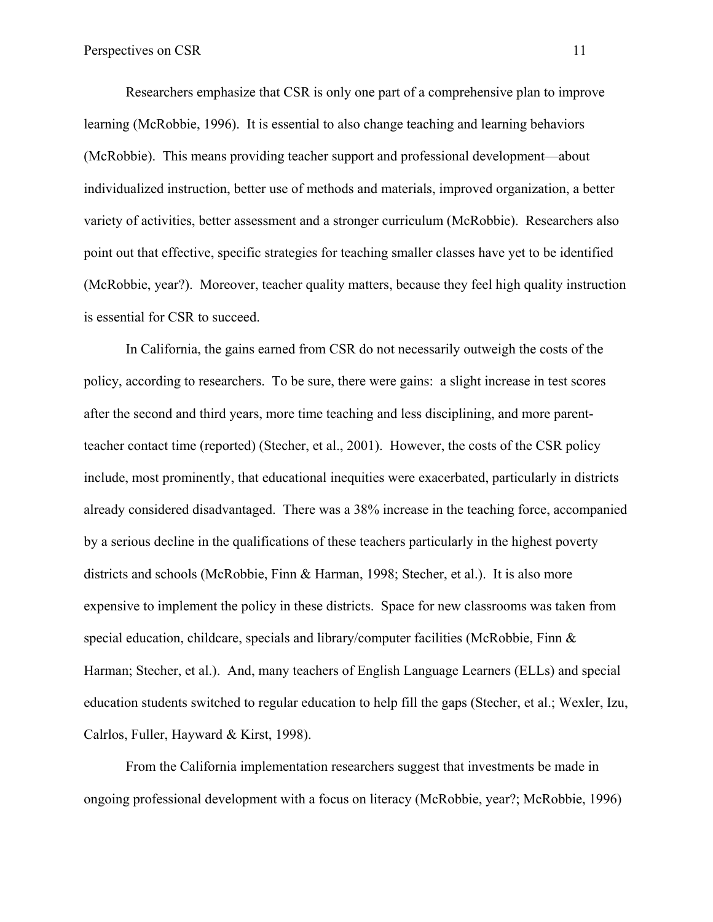Researchers emphasize that CSR is only one part of a comprehensive plan to improve learning (McRobbie, 1996). It is essential to also change teaching and learning behaviors (McRobbie). This means providing teacher support and professional development—about individualized instruction, better use of methods and materials, improved organization, a better variety of activities, better assessment and a stronger curriculum (McRobbie). Researchers also point out that effective, specific strategies for teaching smaller classes have yet to be identified (McRobbie, year?). Moreover, teacher quality matters, because they feel high quality instruction is essential for CSR to succeed.

 In California, the gains earned from CSR do not necessarily outweigh the costs of the policy, according to researchers. To be sure, there were gains: a slight increase in test scores after the second and third years, more time teaching and less disciplining, and more parentteacher contact time (reported) (Stecher, et al., 2001). However, the costs of the CSR policy include, most prominently, that educational inequities were exacerbated, particularly in districts already considered disadvantaged. There was a 38% increase in the teaching force, accompanied by a serious decline in the qualifications of these teachers particularly in the highest poverty districts and schools (McRobbie, Finn & Harman, 1998; Stecher, et al.). It is also more expensive to implement the policy in these districts. Space for new classrooms was taken from special education, childcare, specials and library/computer facilities (McRobbie, Finn  $\&$ Harman; Stecher, et al.). And, many teachers of English Language Learners (ELLs) and special education students switched to regular education to help fill the gaps (Stecher, et al.; Wexler, Izu, Calrlos, Fuller, Hayward & Kirst, 1998).

From the California implementation researchers suggest that investments be made in ongoing professional development with a focus on literacy (McRobbie, year?; McRobbie, 1996)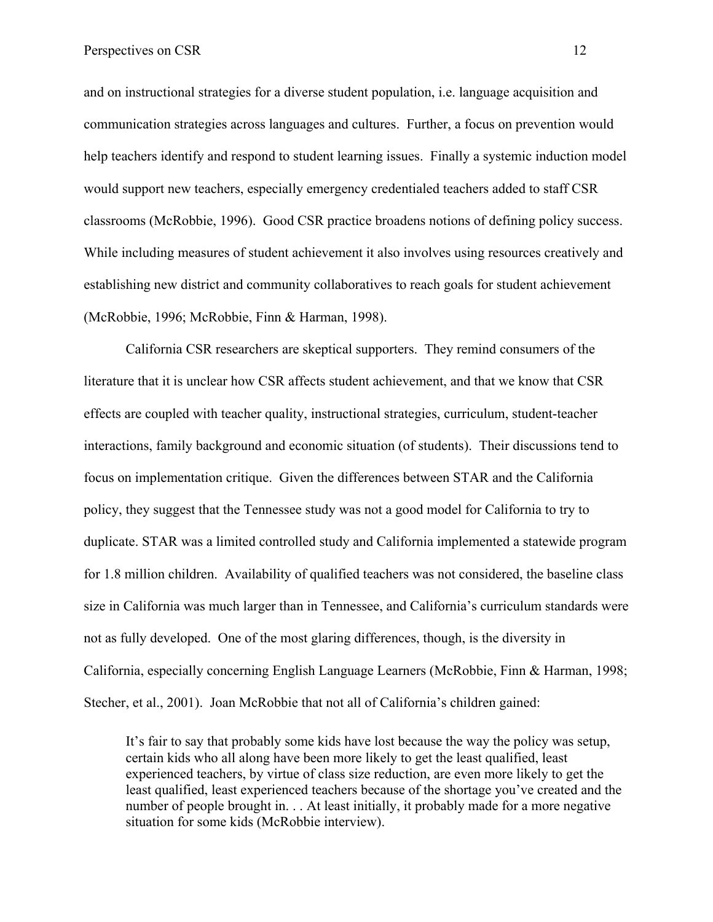and on instructional strategies for a diverse student population, i.e. language acquisition and communication strategies across languages and cultures. Further, a focus on prevention would help teachers identify and respond to student learning issues. Finally a systemic induction model would support new teachers, especially emergency credentialed teachers added to staff CSR classrooms (McRobbie, 1996). Good CSR practice broadens notions of defining policy success. While including measures of student achievement it also involves using resources creatively and establishing new district and community collaboratives to reach goals for student achievement (McRobbie, 1996; McRobbie, Finn & Harman, 1998).

California CSR researchers are skeptical supporters. They remind consumers of the literature that it is unclear how CSR affects student achievement, and that we know that CSR effects are coupled with teacher quality, instructional strategies, curriculum, student-teacher interactions, family background and economic situation (of students). Their discussions tend to focus on implementation critique. Given the differences between STAR and the California policy, they suggest that the Tennessee study was not a good model for California to try to duplicate. STAR was a limited controlled study and California implemented a statewide program for 1.8 million children. Availability of qualified teachers was not considered, the baseline class size in California was much larger than in Tennessee, and California's curriculum standards were not as fully developed. One of the most glaring differences, though, is the diversity in California, especially concerning English Language Learners (McRobbie, Finn & Harman, 1998; Stecher, et al., 2001). Joan McRobbie that not all of California's children gained:

It's fair to say that probably some kids have lost because the way the policy was setup, certain kids who all along have been more likely to get the least qualified, least experienced teachers, by virtue of class size reduction, are even more likely to get the least qualified, least experienced teachers because of the shortage you've created and the number of people brought in. . . At least initially, it probably made for a more negative situation for some kids (McRobbie interview).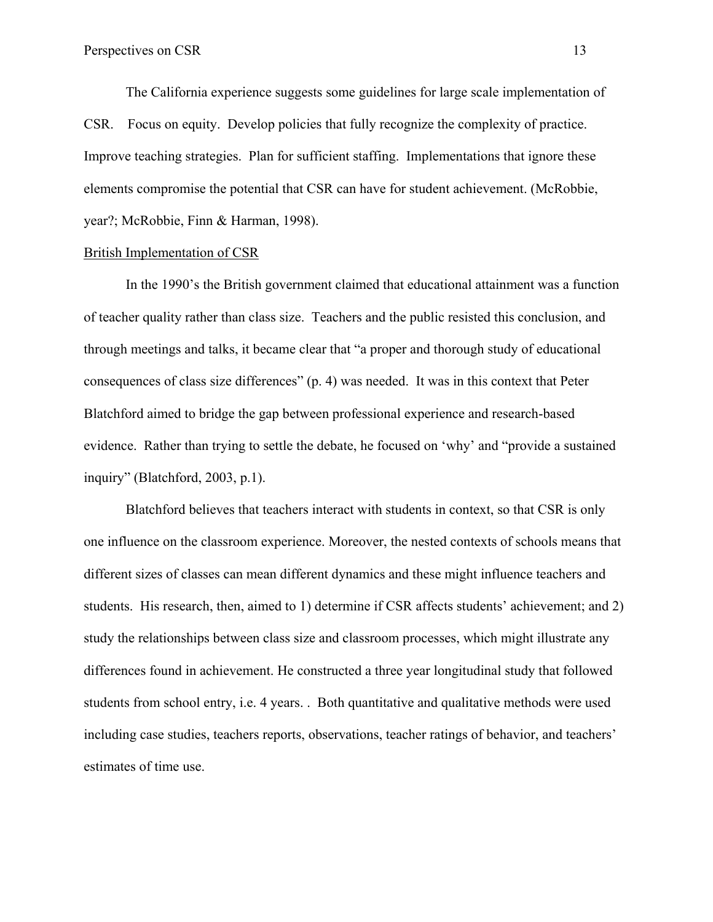The California experience suggests some guidelines for large scale implementation of CSR. Focus on equity. Develop policies that fully recognize the complexity of practice. Improve teaching strategies. Plan for sufficient staffing. Implementations that ignore these elements compromise the potential that CSR can have for student achievement. (McRobbie, year?; McRobbie, Finn & Harman, 1998).

# British Implementation of CSR

 In the 1990's the British government claimed that educational attainment was a function of teacher quality rather than class size. Teachers and the public resisted this conclusion, and through meetings and talks, it became clear that "a proper and thorough study of educational consequences of class size differences" (p. 4) was needed. It was in this context that Peter Blatchford aimed to bridge the gap between professional experience and research-based evidence. Rather than trying to settle the debate, he focused on 'why' and "provide a sustained inquiry" (Blatchford, 2003, p.1).

 Blatchford believes that teachers interact with students in context, so that CSR is only one influence on the classroom experience. Moreover, the nested contexts of schools means that different sizes of classes can mean different dynamics and these might influence teachers and students. His research, then, aimed to 1) determine if CSR affects students' achievement; and 2) study the relationships between class size and classroom processes, which might illustrate any differences found in achievement. He constructed a three year longitudinal study that followed students from school entry, i.e. 4 years. . Both quantitative and qualitative methods were used including case studies, teachers reports, observations, teacher ratings of behavior, and teachers' estimates of time use.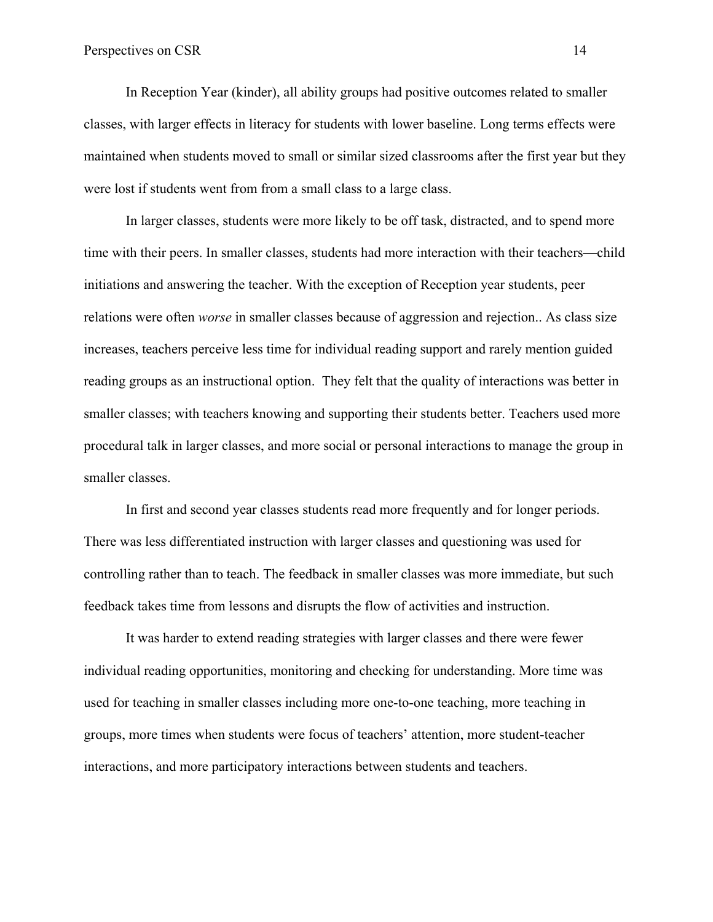In Reception Year (kinder), all ability groups had positive outcomes related to smaller classes, with larger effects in literacy for students with lower baseline. Long terms effects were maintained when students moved to small or similar sized classrooms after the first year but they were lost if students went from from a small class to a large class.

In larger classes, students were more likely to be off task, distracted, and to spend more time with their peers. In smaller classes, students had more interaction with their teachers—child initiations and answering the teacher. With the exception of Reception year students, peer relations were often *worse* in smaller classes because of aggression and rejection.. As class size increases, teachers perceive less time for individual reading support and rarely mention guided reading groups as an instructional option. They felt that the quality of interactions was better in smaller classes; with teachers knowing and supporting their students better. Teachers used more procedural talk in larger classes, and more social or personal interactions to manage the group in smaller classes.

In first and second year classes students read more frequently and for longer periods. There was less differentiated instruction with larger classes and questioning was used for controlling rather than to teach. The feedback in smaller classes was more immediate, but such feedback takes time from lessons and disrupts the flow of activities and instruction.

It was harder to extend reading strategies with larger classes and there were fewer individual reading opportunities, monitoring and checking for understanding. More time was used for teaching in smaller classes including more one-to-one teaching, more teaching in groups, more times when students were focus of teachers' attention, more student-teacher interactions, and more participatory interactions between students and teachers.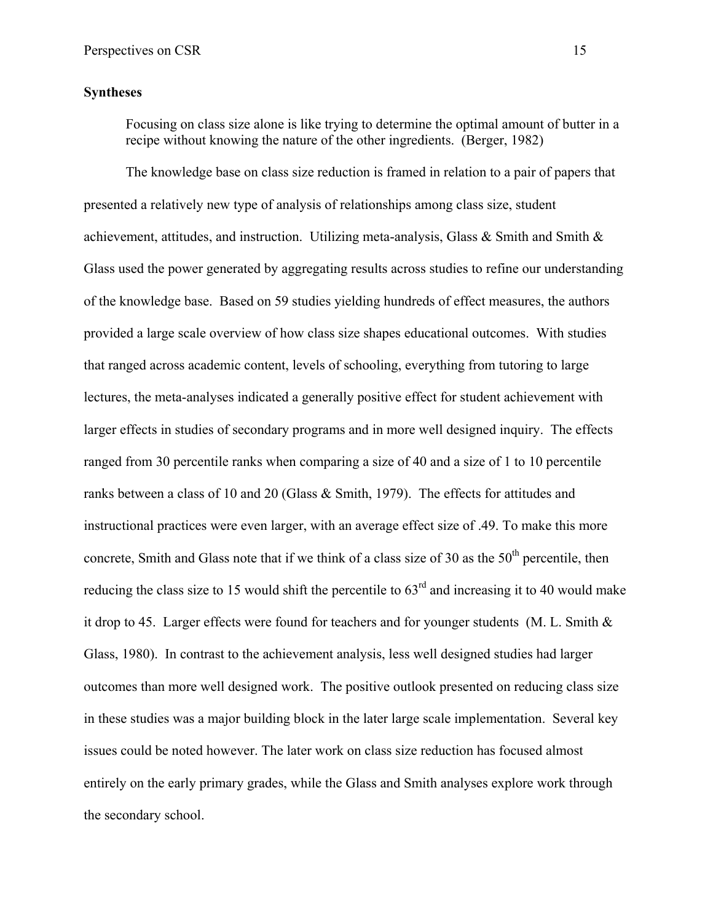### **Syntheses**

Focusing on class size alone is like trying to determine the optimal amount of butter in a recipe without knowing the nature of the other ingredients. (Berger, 1982)

The knowledge base on class size reduction is framed in relation to a pair of papers that presented a relatively new type of analysis of relationships among class size, student achievement, attitudes, and instruction. Utilizing meta-analysis, Glass & Smith and Smith & Glass used the power generated by aggregating results across studies to refine our understanding of the knowledge base. Based on 59 studies yielding hundreds of effect measures, the authors provided a large scale overview of how class size shapes educational outcomes. With studies that ranged across academic content, levels of schooling, everything from tutoring to large lectures, the meta-analyses indicated a generally positive effect for student achievement with larger effects in studies of secondary programs and in more well designed inquiry. The effects ranged from 30 percentile ranks when comparing a size of 40 and a size of 1 to 10 percentile ranks between a class of 10 and 20 (Glass & Smith, 1979). The effects for attitudes and instructional practices were even larger, with an average effect size of .49. To make this more concrete, Smith and Glass note that if we think of a class size of 30 as the  $50<sup>th</sup>$  percentile, then reducing the class size to 15 would shift the percentile to  $63<sup>rd</sup>$  and increasing it to 40 would make it drop to 45. Larger effects were found for teachers and for younger students (M. L. Smith  $\&$ Glass, 1980). In contrast to the achievement analysis, less well designed studies had larger outcomes than more well designed work. The positive outlook presented on reducing class size in these studies was a major building block in the later large scale implementation. Several key issues could be noted however. The later work on class size reduction has focused almost entirely on the early primary grades, while the Glass and Smith analyses explore work through the secondary school.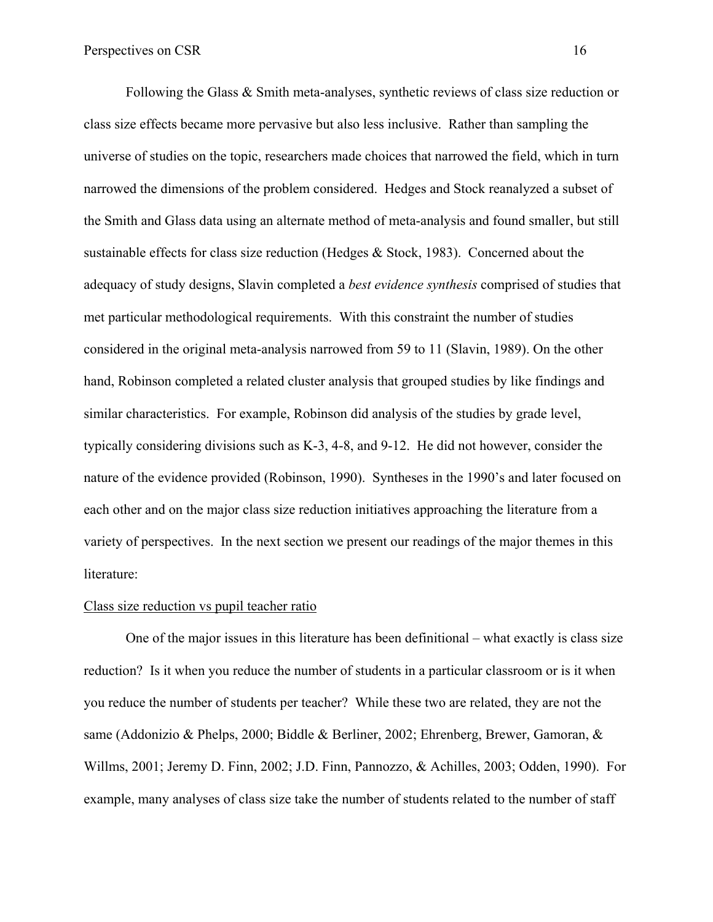Following the Glass & Smith meta-analyses, synthetic reviews of class size reduction or class size effects became more pervasive but also less inclusive. Rather than sampling the universe of studies on the topic, researchers made choices that narrowed the field, which in turn narrowed the dimensions of the problem considered. Hedges and Stock reanalyzed a subset of the Smith and Glass data using an alternate method of meta-analysis and found smaller, but still sustainable effects for class size reduction (Hedges & Stock, 1983). Concerned about the adequacy of study designs, Slavin completed a *best evidence synthesis* comprised of studies that met particular methodological requirements. With this constraint the number of studies considered in the original meta-analysis narrowed from 59 to 11 (Slavin, 1989). On the other hand, Robinson completed a related cluster analysis that grouped studies by like findings and similar characteristics. For example, Robinson did analysis of the studies by grade level, typically considering divisions such as K-3, 4-8, and 9-12. He did not however, consider the nature of the evidence provided (Robinson, 1990). Syntheses in the 1990's and later focused on each other and on the major class size reduction initiatives approaching the literature from a variety of perspectives. In the next section we present our readings of the major themes in this literature:

#### Class size reduction vs pupil teacher ratio

One of the major issues in this literature has been definitional – what exactly is class size reduction? Is it when you reduce the number of students in a particular classroom or is it when you reduce the number of students per teacher? While these two are related, they are not the same (Addonizio & Phelps, 2000; Biddle & Berliner, 2002; Ehrenberg, Brewer, Gamoran, & Willms, 2001; Jeremy D. Finn, 2002; J.D. Finn, Pannozzo, & Achilles, 2003; Odden, 1990). For example, many analyses of class size take the number of students related to the number of staff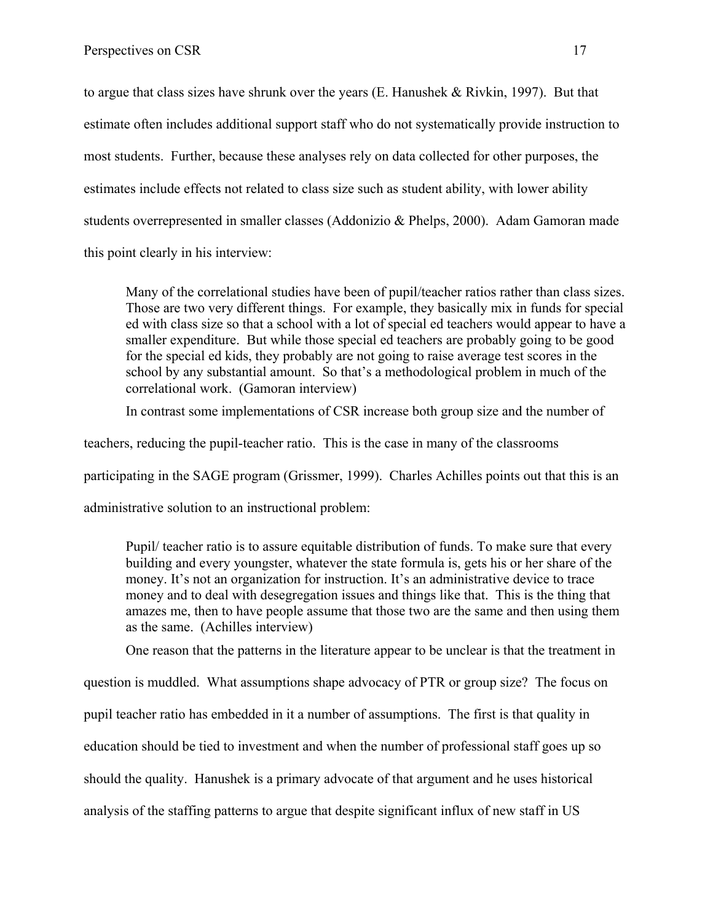to argue that class sizes have shrunk over the years (E. Hanushek & Rivkin, 1997). But that estimate often includes additional support staff who do not systematically provide instruction to most students. Further, because these analyses rely on data collected for other purposes, the estimates include effects not related to class size such as student ability, with lower ability students overrepresented in smaller classes (Addonizio & Phelps, 2000). Adam Gamoran made this point clearly in his interview:

Many of the correlational studies have been of pupil/teacher ratios rather than class sizes. Those are two very different things. For example, they basically mix in funds for special ed with class size so that a school with a lot of special ed teachers would appear to have a smaller expenditure. But while those special ed teachers are probably going to be good for the special ed kids, they probably are not going to raise average test scores in the school by any substantial amount. So that's a methodological problem in much of the correlational work. (Gamoran interview)

In contrast some implementations of CSR increase both group size and the number of

teachers, reducing the pupil-teacher ratio. This is the case in many of the classrooms

participating in the SAGE program (Grissmer, 1999). Charles Achilles points out that this is an

administrative solution to an instructional problem:

Pupil/ teacher ratio is to assure equitable distribution of funds. To make sure that every building and every youngster, whatever the state formula is, gets his or her share of the money. It's not an organization for instruction. It's an administrative device to trace money and to deal with desegregation issues and things like that. This is the thing that amazes me, then to have people assume that those two are the same and then using them as the same. (Achilles interview)

One reason that the patterns in the literature appear to be unclear is that the treatment in

question is muddled. What assumptions shape advocacy of PTR or group size? The focus on

pupil teacher ratio has embedded in it a number of assumptions. The first is that quality in

education should be tied to investment and when the number of professional staff goes up so

should the quality. Hanushek is a primary advocate of that argument and he uses historical

analysis of the staffing patterns to argue that despite significant influx of new staff in US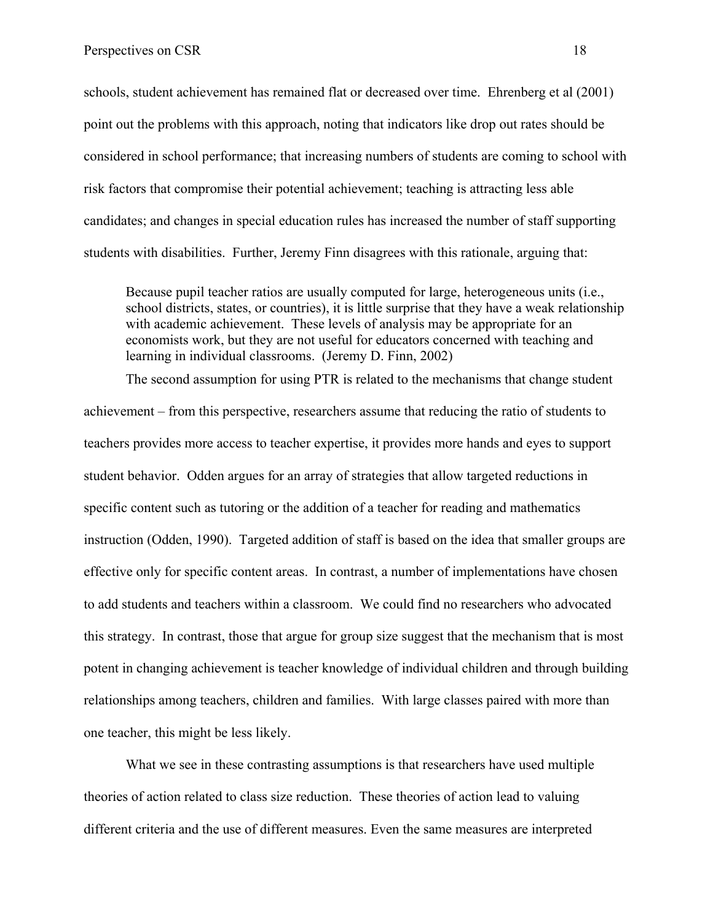schools, student achievement has remained flat or decreased over time. Ehrenberg et al (2001) point out the problems with this approach, noting that indicators like drop out rates should be considered in school performance; that increasing numbers of students are coming to school with risk factors that compromise their potential achievement; teaching is attracting less able candidates; and changes in special education rules has increased the number of staff supporting students with disabilities. Further, Jeremy Finn disagrees with this rationale, arguing that:

Because pupil teacher ratios are usually computed for large, heterogeneous units (i.e., school districts, states, or countries), it is little surprise that they have a weak relationship with academic achievement. These levels of analysis may be appropriate for an economists work, but they are not useful for educators concerned with teaching and learning in individual classrooms. (Jeremy D. Finn, 2002)

The second assumption for using PTR is related to the mechanisms that change student achievement – from this perspective, researchers assume that reducing the ratio of students to teachers provides more access to teacher expertise, it provides more hands and eyes to support student behavior. Odden argues for an array of strategies that allow targeted reductions in specific content such as tutoring or the addition of a teacher for reading and mathematics instruction (Odden, 1990). Targeted addition of staff is based on the idea that smaller groups are effective only for specific content areas. In contrast, a number of implementations have chosen to add students and teachers within a classroom. We could find no researchers who advocated this strategy. In contrast, those that argue for group size suggest that the mechanism that is most potent in changing achievement is teacher knowledge of individual children and through building relationships among teachers, children and families. With large classes paired with more than one teacher, this might be less likely.

What we see in these contrasting assumptions is that researchers have used multiple theories of action related to class size reduction. These theories of action lead to valuing different criteria and the use of different measures. Even the same measures are interpreted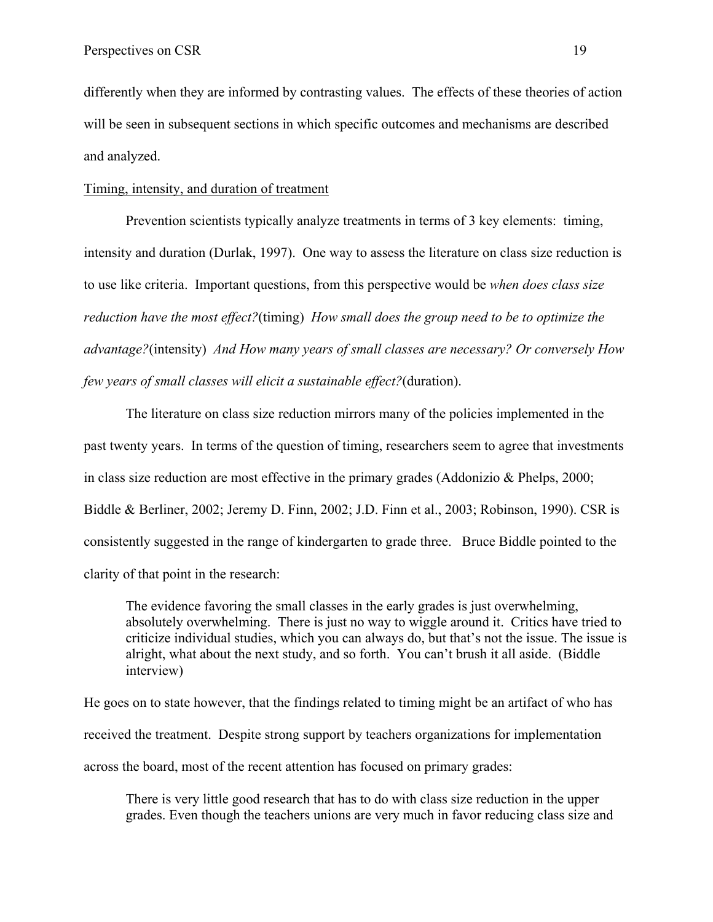differently when they are informed by contrasting values. The effects of these theories of action will be seen in subsequent sections in which specific outcomes and mechanisms are described and analyzed.

#### Timing, intensity, and duration of treatment

Prevention scientists typically analyze treatments in terms of 3 key elements: timing, intensity and duration (Durlak, 1997). One way to assess the literature on class size reduction is to use like criteria. Important questions, from this perspective would be *when does class size reduction have the most effect?*(timing) *How small does the group need to be to optimize the advantage?*(intensity) *And How many years of small classes are necessary? Or conversely How few years of small classes will elicit a sustainable effect?*(duration).

The literature on class size reduction mirrors many of the policies implemented in the past twenty years. In terms of the question of timing, researchers seem to agree that investments in class size reduction are most effective in the primary grades (Addonizio & Phelps, 2000; Biddle & Berliner, 2002; Jeremy D. Finn, 2002; J.D. Finn et al., 2003; Robinson, 1990). CSR is consistently suggested in the range of kindergarten to grade three. Bruce Biddle pointed to the clarity of that point in the research:

The evidence favoring the small classes in the early grades is just overwhelming, absolutely overwhelming. There is just no way to wiggle around it. Critics have tried to criticize individual studies, which you can always do, but that's not the issue. The issue is alright, what about the next study, and so forth. You can't brush it all aside. (Biddle interview)

He goes on to state however, that the findings related to timing might be an artifact of who has received the treatment. Despite strong support by teachers organizations for implementation across the board, most of the recent attention has focused on primary grades:

There is very little good research that has to do with class size reduction in the upper grades. Even though the teachers unions are very much in favor reducing class size and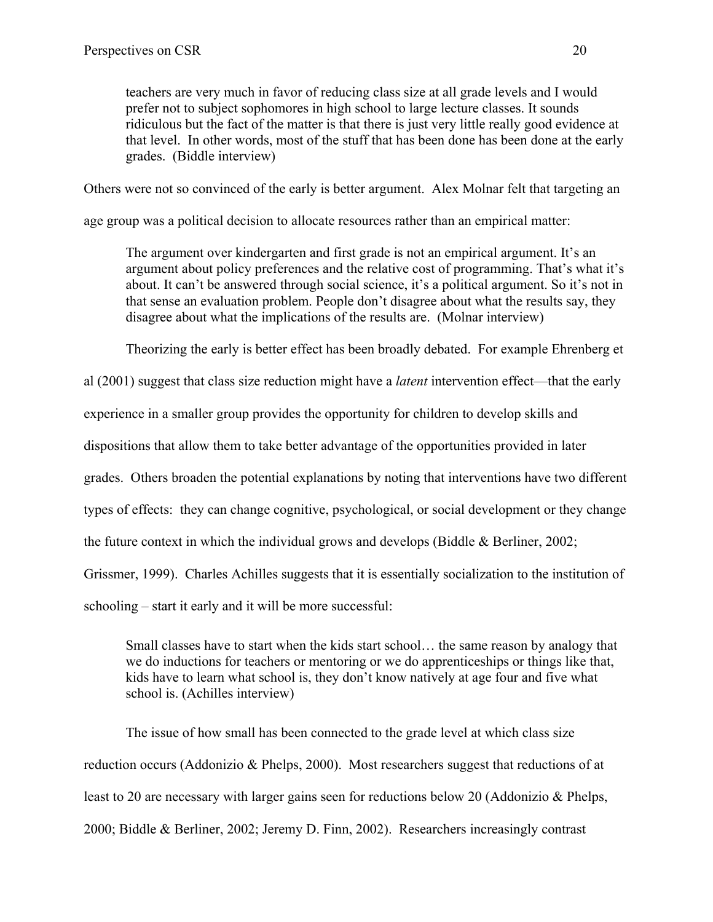teachers are very much in favor of reducing class size at all grade levels and I would prefer not to subject sophomores in high school to large lecture classes. It sounds ridiculous but the fact of the matter is that there is just very little really good evidence at that level. In other words, most of the stuff that has been done has been done at the early grades. (Biddle interview)

Others were not so convinced of the early is better argument. Alex Molnar felt that targeting an

age group was a political decision to allocate resources rather than an empirical matter:

The argument over kindergarten and first grade is not an empirical argument. It's an argument about policy preferences and the relative cost of programming. That's what it's about. It can't be answered through social science, it's a political argument. So it's not in that sense an evaluation problem. People don't disagree about what the results say, they disagree about what the implications of the results are. (Molnar interview)

Theorizing the early is better effect has been broadly debated. For example Ehrenberg et

al (2001) suggest that class size reduction might have a *latent* intervention effect—that the early

experience in a smaller group provides the opportunity for children to develop skills and

dispositions that allow them to take better advantage of the opportunities provided in later

grades. Others broaden the potential explanations by noting that interventions have two different

types of effects: they can change cognitive, psychological, or social development or they change

the future context in which the individual grows and develops (Biddle & Berliner, 2002;

Grissmer, 1999). Charles Achilles suggests that it is essentially socialization to the institution of

schooling – start it early and it will be more successful:

Small classes have to start when the kids start school… the same reason by analogy that we do inductions for teachers or mentoring or we do apprenticeships or things like that, kids have to learn what school is, they don't know natively at age four and five what school is. (Achilles interview)

The issue of how small has been connected to the grade level at which class size reduction occurs (Addonizio & Phelps, 2000). Most researchers suggest that reductions of at least to 20 are necessary with larger gains seen for reductions below 20 (Addonizio & Phelps, 2000; Biddle & Berliner, 2002; Jeremy D. Finn, 2002). Researchers increasingly contrast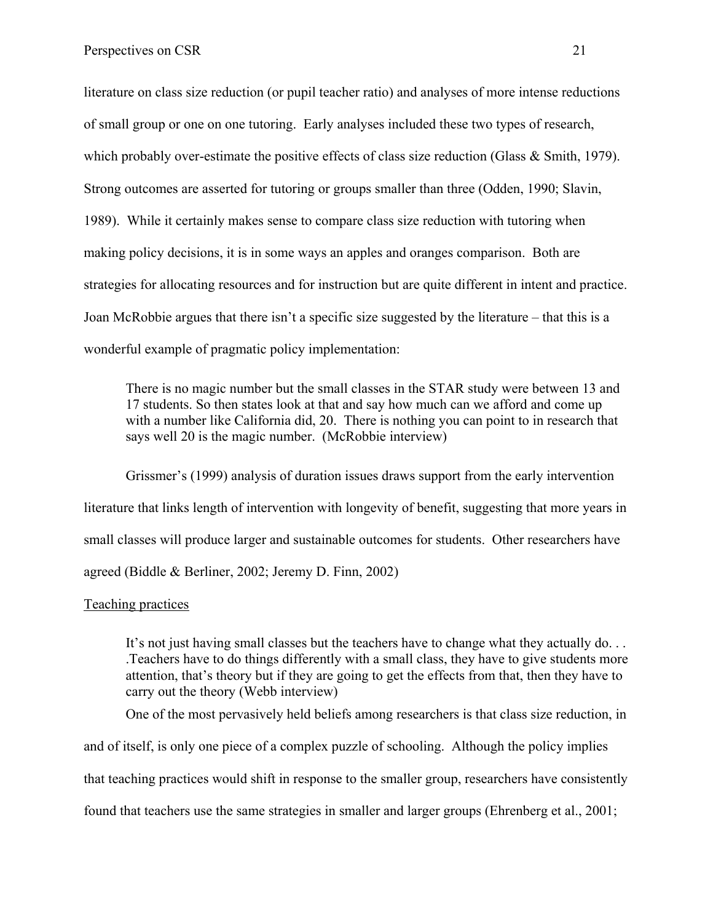literature on class size reduction (or pupil teacher ratio) and analyses of more intense reductions of small group or one on one tutoring. Early analyses included these two types of research, which probably over-estimate the positive effects of class size reduction (Glass & Smith, 1979). Strong outcomes are asserted for tutoring or groups smaller than three (Odden, 1990; Slavin, 1989). While it certainly makes sense to compare class size reduction with tutoring when making policy decisions, it is in some ways an apples and oranges comparison. Both are strategies for allocating resources and for instruction but are quite different in intent and practice. Joan McRobbie argues that there isn't a specific size suggested by the literature – that this is a wonderful example of pragmatic policy implementation:

There is no magic number but the small classes in the STAR study were between 13 and 17 students. So then states look at that and say how much can we afford and come up with a number like California did, 20. There is nothing you can point to in research that says well 20 is the magic number. (McRobbie interview)

Grissmer's (1999) analysis of duration issues draws support from the early intervention literature that links length of intervention with longevity of benefit, suggesting that more years in small classes will produce larger and sustainable outcomes for students. Other researchers have agreed (Biddle & Berliner, 2002; Jeremy D. Finn, 2002)

### Teaching practices

It's not just having small classes but the teachers have to change what they actually do... .Teachers have to do things differently with a small class, they have to give students more attention, that's theory but if they are going to get the effects from that, then they have to carry out the theory (Webb interview)

One of the most pervasively held beliefs among researchers is that class size reduction, in

and of itself, is only one piece of a complex puzzle of schooling. Although the policy implies

that teaching practices would shift in response to the smaller group, researchers have consistently

found that teachers use the same strategies in smaller and larger groups (Ehrenberg et al., 2001;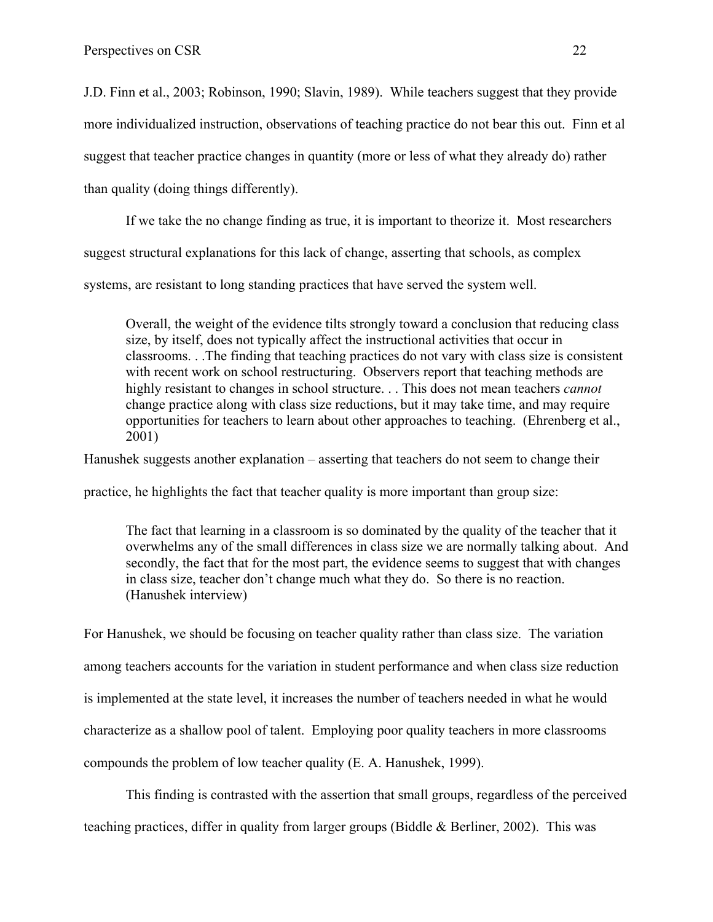J.D. Finn et al., 2003; Robinson, 1990; Slavin, 1989). While teachers suggest that they provide more individualized instruction, observations of teaching practice do not bear this out. Finn et al suggest that teacher practice changes in quantity (more or less of what they already do) rather than quality (doing things differently).

If we take the no change finding as true, it is important to theorize it. Most researchers

suggest structural explanations for this lack of change, asserting that schools, as complex

systems, are resistant to long standing practices that have served the system well.

Overall, the weight of the evidence tilts strongly toward a conclusion that reducing class size, by itself, does not typically affect the instructional activities that occur in classrooms. . .The finding that teaching practices do not vary with class size is consistent with recent work on school restructuring. Observers report that teaching methods are highly resistant to changes in school structure. . . This does not mean teachers *cannot* change practice along with class size reductions, but it may take time, and may require opportunities for teachers to learn about other approaches to teaching. (Ehrenberg et al., 2001)

Hanushek suggests another explanation – asserting that teachers do not seem to change their

practice, he highlights the fact that teacher quality is more important than group size:

The fact that learning in a classroom is so dominated by the quality of the teacher that it overwhelms any of the small differences in class size we are normally talking about. And secondly, the fact that for the most part, the evidence seems to suggest that with changes in class size, teacher don't change much what they do. So there is no reaction. (Hanushek interview)

For Hanushek, we should be focusing on teacher quality rather than class size. The variation among teachers accounts for the variation in student performance and when class size reduction is implemented at the state level, it increases the number of teachers needed in what he would characterize as a shallow pool of talent. Employing poor quality teachers in more classrooms compounds the problem of low teacher quality (E. A. Hanushek, 1999).

This finding is contrasted with the assertion that small groups, regardless of the perceived teaching practices, differ in quality from larger groups (Biddle & Berliner, 2002). This was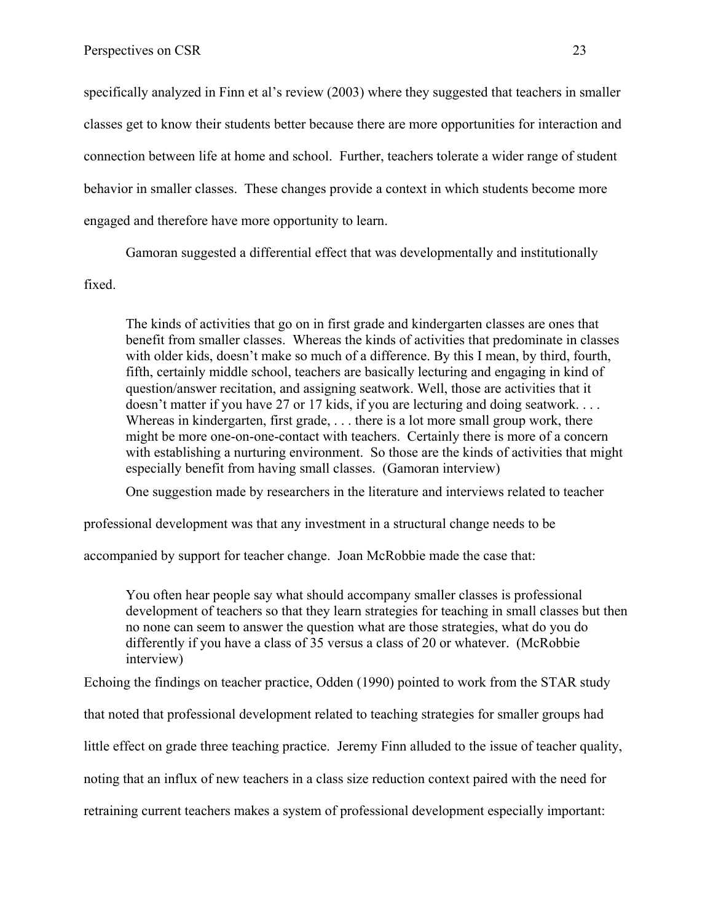specifically analyzed in Finn et al's review (2003) where they suggested that teachers in smaller classes get to know their students better because there are more opportunities for interaction and connection between life at home and school. Further, teachers tolerate a wider range of student behavior in smaller classes. These changes provide a context in which students become more engaged and therefore have more opportunity to learn.

Gamoran suggested a differential effect that was developmentally and institutionally fixed.

The kinds of activities that go on in first grade and kindergarten classes are ones that benefit from smaller classes. Whereas the kinds of activities that predominate in classes with older kids, doesn't make so much of a difference. By this I mean, by third, fourth, fifth, certainly middle school, teachers are basically lecturing and engaging in kind of question/answer recitation, and assigning seatwork. Well, those are activities that it doesn't matter if you have 27 or 17 kids, if you are lecturing and doing seatwork. . . . Whereas in kindergarten, first grade, ... there is a lot more small group work, there might be more one-on-one-contact with teachers. Certainly there is more of a concern with establishing a nurturing environment. So those are the kinds of activities that might especially benefit from having small classes. (Gamoran interview)

One suggestion made by researchers in the literature and interviews related to teacher

professional development was that any investment in a structural change needs to be

accompanied by support for teacher change. Joan McRobbie made the case that:

You often hear people say what should accompany smaller classes is professional development of teachers so that they learn strategies for teaching in small classes but then no none can seem to answer the question what are those strategies, what do you do differently if you have a class of 35 versus a class of 20 or whatever. (McRobbie interview)

Echoing the findings on teacher practice, Odden (1990) pointed to work from the STAR study

that noted that professional development related to teaching strategies for smaller groups had

little effect on grade three teaching practice. Jeremy Finn alluded to the issue of teacher quality,

noting that an influx of new teachers in a class size reduction context paired with the need for

retraining current teachers makes a system of professional development especially important: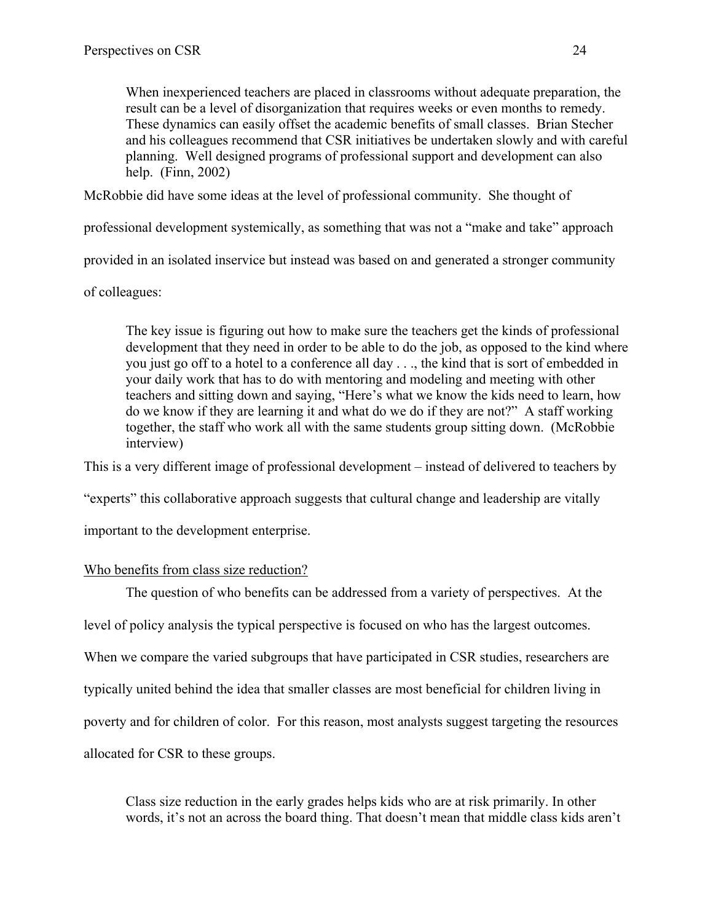When inexperienced teachers are placed in classrooms without adequate preparation, the result can be a level of disorganization that requires weeks or even months to remedy. These dynamics can easily offset the academic benefits of small classes. Brian Stecher and his colleagues recommend that CSR initiatives be undertaken slowly and with careful planning. Well designed programs of professional support and development can also help. (Finn, 2002)

McRobbie did have some ideas at the level of professional community. She thought of

professional development systemically, as something that was not a "make and take" approach

provided in an isolated inservice but instead was based on and generated a stronger community

of colleagues:

The key issue is figuring out how to make sure the teachers get the kinds of professional development that they need in order to be able to do the job, as opposed to the kind where you just go off to a hotel to a conference all day . . ., the kind that is sort of embedded in your daily work that has to do with mentoring and modeling and meeting with other teachers and sitting down and saying, "Here's what we know the kids need to learn, how do we know if they are learning it and what do we do if they are not?" A staff working together, the staff who work all with the same students group sitting down. (McRobbie interview)

This is a very different image of professional development – instead of delivered to teachers by

"experts" this collaborative approach suggests that cultural change and leadership are vitally

important to the development enterprise.

# Who benefits from class size reduction?

The question of who benefits can be addressed from a variety of perspectives. At the

level of policy analysis the typical perspective is focused on who has the largest outcomes.

When we compare the varied subgroups that have participated in CSR studies, researchers are

typically united behind the idea that smaller classes are most beneficial for children living in

poverty and for children of color. For this reason, most analysts suggest targeting the resources

allocated for CSR to these groups.

Class size reduction in the early grades helps kids who are at risk primarily. In other words, it's not an across the board thing. That doesn't mean that middle class kids aren't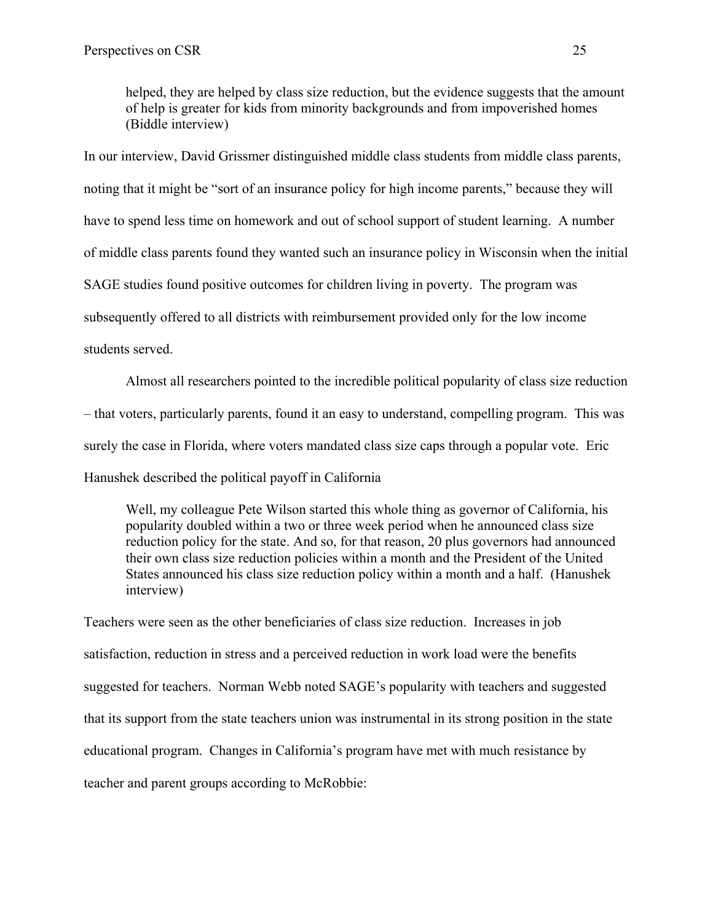helped, they are helped by class size reduction, but the evidence suggests that the amount of help is greater for kids from minority backgrounds and from impoverished homes (Biddle interview)

In our interview, David Grissmer distinguished middle class students from middle class parents, noting that it might be "sort of an insurance policy for high income parents," because they will have to spend less time on homework and out of school support of student learning. A number of middle class parents found they wanted such an insurance policy in Wisconsin when the initial SAGE studies found positive outcomes for children living in poverty. The program was subsequently offered to all districts with reimbursement provided only for the low income students served.

Almost all researchers pointed to the incredible political popularity of class size reduction – that voters, particularly parents, found it an easy to understand, compelling program. This was surely the case in Florida, where voters mandated class size caps through a popular vote. Eric Hanushek described the political payoff in California

Well, my colleague Pete Wilson started this whole thing as governor of California, his popularity doubled within a two or three week period when he announced class size reduction policy for the state. And so, for that reason, 20 plus governors had announced their own class size reduction policies within a month and the President of the United States announced his class size reduction policy within a month and a half. (Hanushek interview)

Teachers were seen as the other beneficiaries of class size reduction. Increases in job satisfaction, reduction in stress and a perceived reduction in work load were the benefits suggested for teachers. Norman Webb noted SAGE's popularity with teachers and suggested that its support from the state teachers union was instrumental in its strong position in the state educational program. Changes in California's program have met with much resistance by teacher and parent groups according to McRobbie: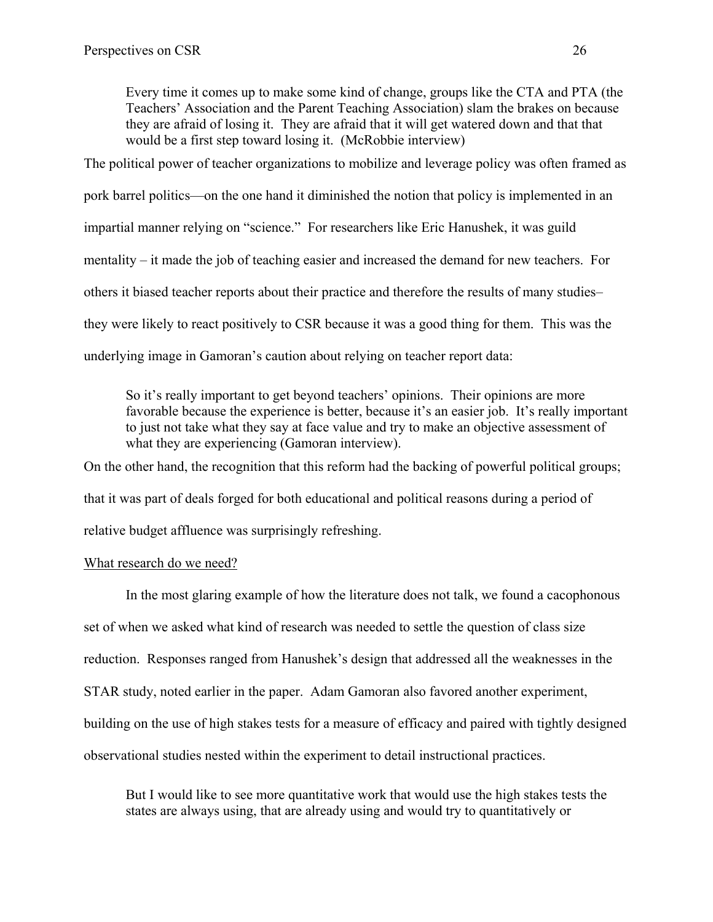Every time it comes up to make some kind of change, groups like the CTA and PTA (the Teachers' Association and the Parent Teaching Association) slam the brakes on because they are afraid of losing it. They are afraid that it will get watered down and that that would be a first step toward losing it. (McRobbie interview)

The political power of teacher organizations to mobilize and leverage policy was often framed as pork barrel politics—on the one hand it diminished the notion that policy is implemented in an impartial manner relying on "science." For researchers like Eric Hanushek, it was guild mentality – it made the job of teaching easier and increased the demand for new teachers. For others it biased teacher reports about their practice and therefore the results of many studies– they were likely to react positively to CSR because it was a good thing for them. This was the underlying image in Gamoran's caution about relying on teacher report data:

So it's really important to get beyond teachers' opinions. Their opinions are more favorable because the experience is better, because it's an easier job. It's really important to just not take what they say at face value and try to make an objective assessment of what they are experiencing (Gamoran interview).

On the other hand, the recognition that this reform had the backing of powerful political groups; that it was part of deals forged for both educational and political reasons during a period of relative budget affluence was surprisingly refreshing.

### What research do we need?

In the most glaring example of how the literature does not talk, we found a cacophonous set of when we asked what kind of research was needed to settle the question of class size reduction. Responses ranged from Hanushek's design that addressed all the weaknesses in the STAR study, noted earlier in the paper. Adam Gamoran also favored another experiment, building on the use of high stakes tests for a measure of efficacy and paired with tightly designed observational studies nested within the experiment to detail instructional practices.

But I would like to see more quantitative work that would use the high stakes tests the states are always using, that are already using and would try to quantitatively or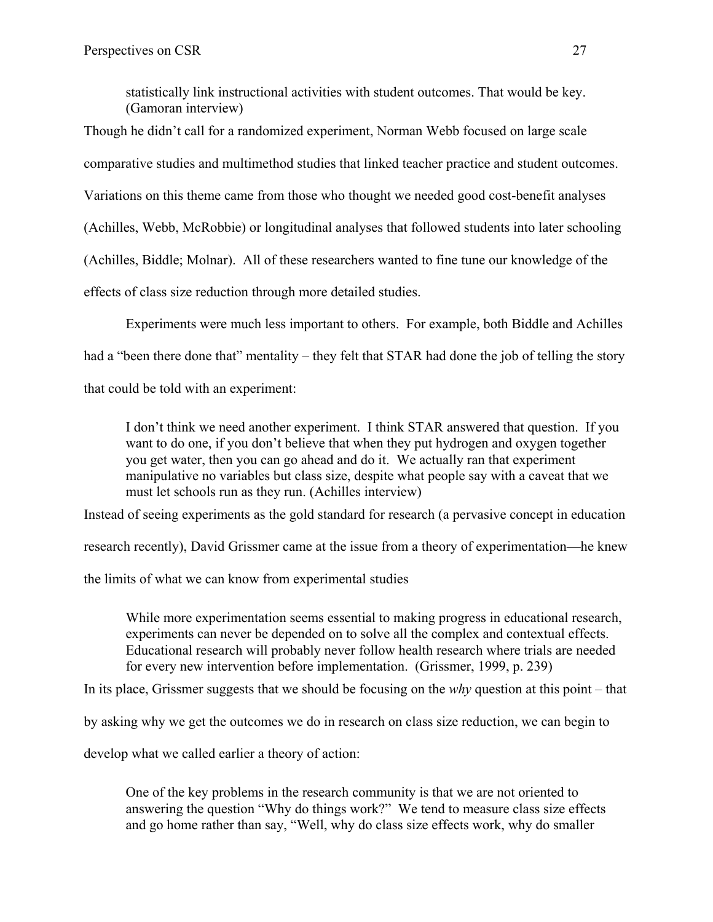statistically link instructional activities with student outcomes. That would be key. (Gamoran interview)

Though he didn't call for a randomized experiment, Norman Webb focused on large scale

comparative studies and multimethod studies that linked teacher practice and student outcomes.

Variations on this theme came from those who thought we needed good cost-benefit analyses

(Achilles, Webb, McRobbie) or longitudinal analyses that followed students into later schooling

(Achilles, Biddle; Molnar). All of these researchers wanted to fine tune our knowledge of the

effects of class size reduction through more detailed studies.

Experiments were much less important to others. For example, both Biddle and Achilles

had a "been there done that" mentality – they felt that STAR had done the job of telling the story

that could be told with an experiment:

I don't think we need another experiment. I think STAR answered that question. If you want to do one, if you don't believe that when they put hydrogen and oxygen together you get water, then you can go ahead and do it. We actually ran that experiment manipulative no variables but class size, despite what people say with a caveat that we must let schools run as they run. (Achilles interview)

Instead of seeing experiments as the gold standard for research (a pervasive concept in education

research recently), David Grissmer came at the issue from a theory of experimentation—he knew

the limits of what we can know from experimental studies

While more experimentation seems essential to making progress in educational research, experiments can never be depended on to solve all the complex and contextual effects. Educational research will probably never follow health research where trials are needed for every new intervention before implementation. (Grissmer, 1999, p. 239)

In its place, Grissmer suggests that we should be focusing on the *why* question at this point – that

by asking why we get the outcomes we do in research on class size reduction, we can begin to

develop what we called earlier a theory of action:

One of the key problems in the research community is that we are not oriented to answering the question "Why do things work?" We tend to measure class size effects and go home rather than say, "Well, why do class size effects work, why do smaller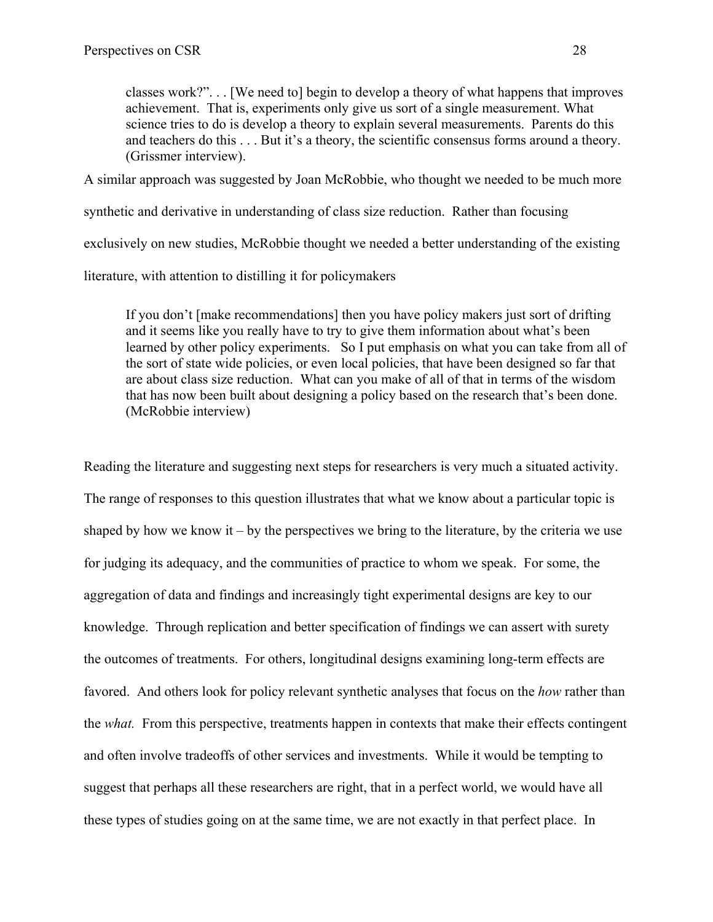classes work?". . . [We need to] begin to develop a theory of what happens that improves achievement. That is, experiments only give us sort of a single measurement. What science tries to do is develop a theory to explain several measurements. Parents do this and teachers do this . . . But it's a theory, the scientific consensus forms around a theory. (Grissmer interview).

A similar approach was suggested by Joan McRobbie, who thought we needed to be much more

synthetic and derivative in understanding of class size reduction. Rather than focusing

exclusively on new studies, McRobbie thought we needed a better understanding of the existing

literature, with attention to distilling it for policymakers

If you don't [make recommendations] then you have policy makers just sort of drifting and it seems like you really have to try to give them information about what's been learned by other policy experiments. So I put emphasis on what you can take from all of the sort of state wide policies, or even local policies, that have been designed so far that are about class size reduction. What can you make of all of that in terms of the wisdom that has now been built about designing a policy based on the research that's been done. (McRobbie interview)

Reading the literature and suggesting next steps for researchers is very much a situated activity. The range of responses to this question illustrates that what we know about a particular topic is shaped by how we know it – by the perspectives we bring to the literature, by the criteria we use for judging its adequacy, and the communities of practice to whom we speak. For some, the aggregation of data and findings and increasingly tight experimental designs are key to our knowledge. Through replication and better specification of findings we can assert with surety the outcomes of treatments. For others, longitudinal designs examining long-term effects are favored. And others look for policy relevant synthetic analyses that focus on the *how* rather than the *what.* From this perspective, treatments happen in contexts that make their effects contingent and often involve tradeoffs of other services and investments. While it would be tempting to suggest that perhaps all these researchers are right, that in a perfect world, we would have all these types of studies going on at the same time, we are not exactly in that perfect place. In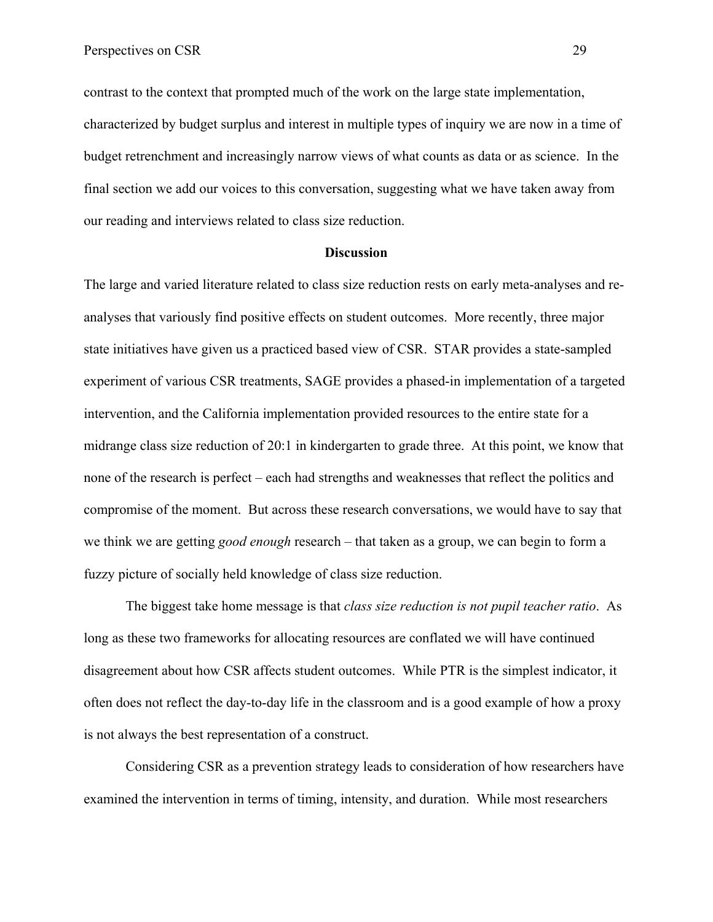contrast to the context that prompted much of the work on the large state implementation, characterized by budget surplus and interest in multiple types of inquiry we are now in a time of budget retrenchment and increasingly narrow views of what counts as data or as science. In the final section we add our voices to this conversation, suggesting what we have taken away from our reading and interviews related to class size reduction.

#### **Discussion**

The large and varied literature related to class size reduction rests on early meta-analyses and reanalyses that variously find positive effects on student outcomes. More recently, three major state initiatives have given us a practiced based view of CSR. STAR provides a state-sampled experiment of various CSR treatments, SAGE provides a phased-in implementation of a targeted intervention, and the California implementation provided resources to the entire state for a midrange class size reduction of 20:1 in kindergarten to grade three. At this point, we know that none of the research is perfect – each had strengths and weaknesses that reflect the politics and compromise of the moment. But across these research conversations, we would have to say that we think we are getting *good enough* research – that taken as a group, we can begin to form a fuzzy picture of socially held knowledge of class size reduction.

The biggest take home message is that *class size reduction is not pupil teacher ratio*. As long as these two frameworks for allocating resources are conflated we will have continued disagreement about how CSR affects student outcomes. While PTR is the simplest indicator, it often does not reflect the day-to-day life in the classroom and is a good example of how a proxy is not always the best representation of a construct.

Considering CSR as a prevention strategy leads to consideration of how researchers have examined the intervention in terms of timing, intensity, and duration. While most researchers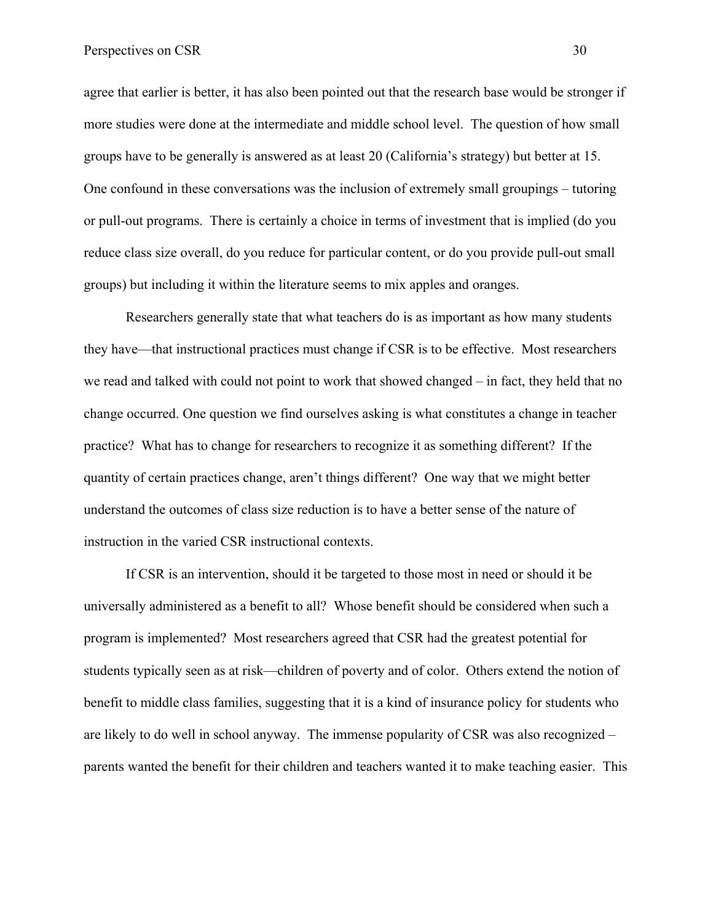agree that earlier is better, it has also been pointed out that the research base would be stronger if more studies were done at the intermediate and middle school level. The question of how small groups have to be generally is answered as at least 20 (California's strategy) but better at 15. One confound in these conversations was the inclusion of extremely small groupings – tutoring or pull-out programs. There is certainly a choice in terms of investment that is implied (do you reduce class size overall, do you reduce for particular content, or do you provide pull-out small groups) but including it within the literature seems to mix apples and oranges.

Researchers generally state that what teachers do is as important as how many students they have—that instructional practices must change if CSR is to be effective. Most researchers we read and talked with could not point to work that showed changed – in fact, they held that no change occurred. One question we find ourselves asking is what constitutes a change in teacher practice? What has to change for researchers to recognize it as something different? If the quantity of certain practices change, aren't things different? One way that we might better understand the outcomes of class size reduction is to have a better sense of the nature of instruction in the varied CSR instructional contexts.

If CSR is an intervention, should it be targeted to those most in need or should it be universally administered as a benefit to all? Whose benefit should be considered when such a program is implemented? Most researchers agreed that CSR had the greatest potential for students typically seen as at risk—children of poverty and of color. Others extend the notion of benefit to middle class families, suggesting that it is a kind of insurance policy for students who are likely to do well in school anyway. The immense popularity of CSR was also recognized – parents wanted the benefit for their children and teachers wanted it to make teaching easier. This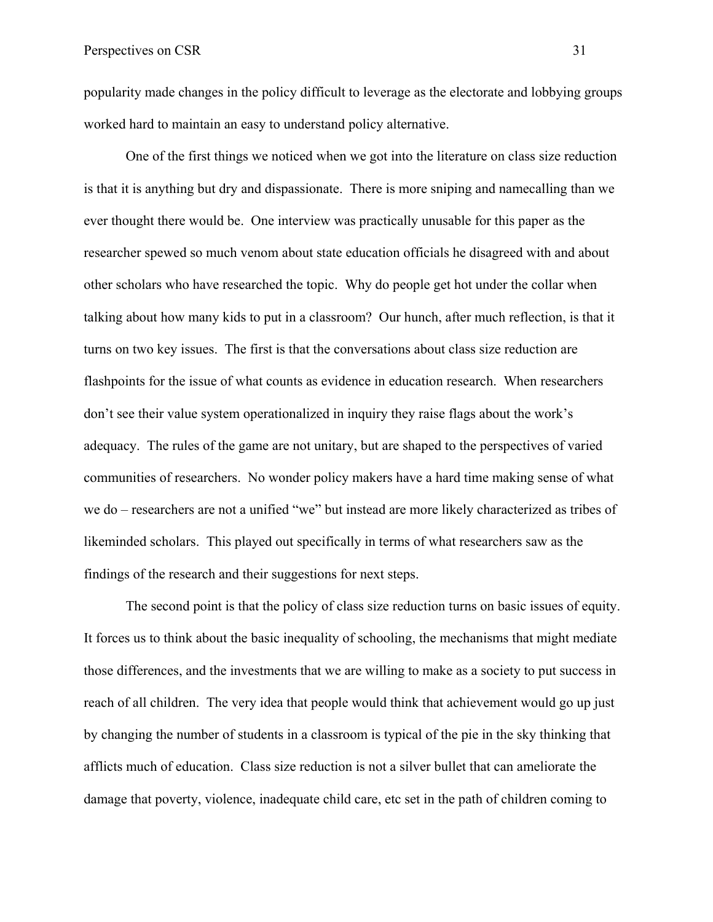popularity made changes in the policy difficult to leverage as the electorate and lobbying groups worked hard to maintain an easy to understand policy alternative.

One of the first things we noticed when we got into the literature on class size reduction is that it is anything but dry and dispassionate. There is more sniping and namecalling than we ever thought there would be. One interview was practically unusable for this paper as the researcher spewed so much venom about state education officials he disagreed with and about other scholars who have researched the topic. Why do people get hot under the collar when talking about how many kids to put in a classroom? Our hunch, after much reflection, is that it turns on two key issues. The first is that the conversations about class size reduction are flashpoints for the issue of what counts as evidence in education research. When researchers don't see their value system operationalized in inquiry they raise flags about the work's adequacy. The rules of the game are not unitary, but are shaped to the perspectives of varied communities of researchers. No wonder policy makers have a hard time making sense of what we do – researchers are not a unified "we" but instead are more likely characterized as tribes of likeminded scholars. This played out specifically in terms of what researchers saw as the findings of the research and their suggestions for next steps.

The second point is that the policy of class size reduction turns on basic issues of equity. It forces us to think about the basic inequality of schooling, the mechanisms that might mediate those differences, and the investments that we are willing to make as a society to put success in reach of all children. The very idea that people would think that achievement would go up just by changing the number of students in a classroom is typical of the pie in the sky thinking that afflicts much of education. Class size reduction is not a silver bullet that can ameliorate the damage that poverty, violence, inadequate child care, etc set in the path of children coming to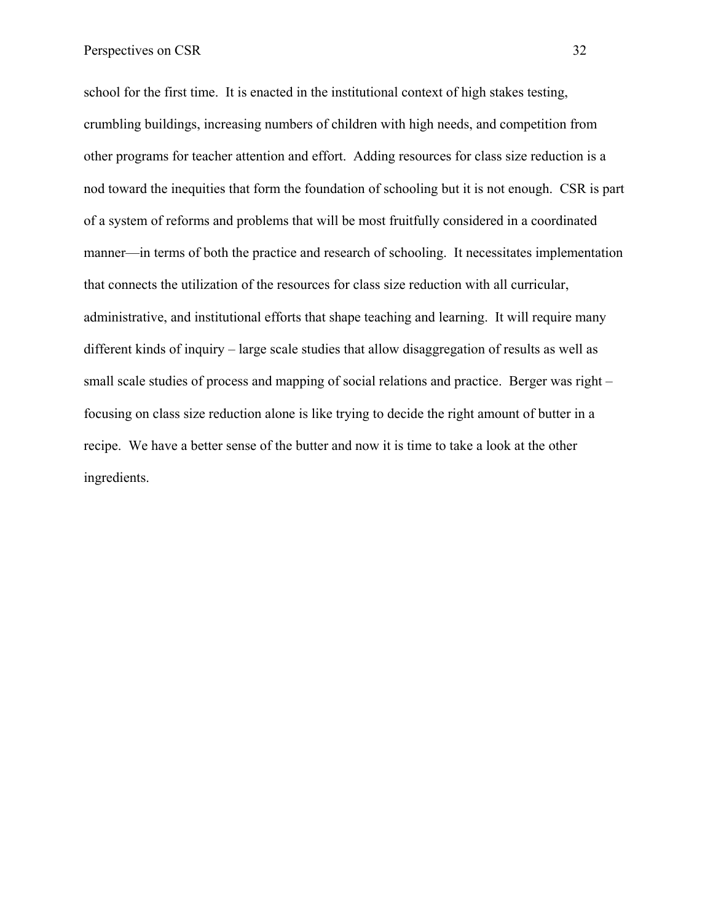school for the first time. It is enacted in the institutional context of high stakes testing, crumbling buildings, increasing numbers of children with high needs, and competition from other programs for teacher attention and effort. Adding resources for class size reduction is a nod toward the inequities that form the foundation of schooling but it is not enough. CSR is part of a system of reforms and problems that will be most fruitfully considered in a coordinated manner—in terms of both the practice and research of schooling. It necessitates implementation that connects the utilization of the resources for class size reduction with all curricular, administrative, and institutional efforts that shape teaching and learning. It will require many different kinds of inquiry – large scale studies that allow disaggregation of results as well as small scale studies of process and mapping of social relations and practice. Berger was right – focusing on class size reduction alone is like trying to decide the right amount of butter in a recipe. We have a better sense of the butter and now it is time to take a look at the other ingredients.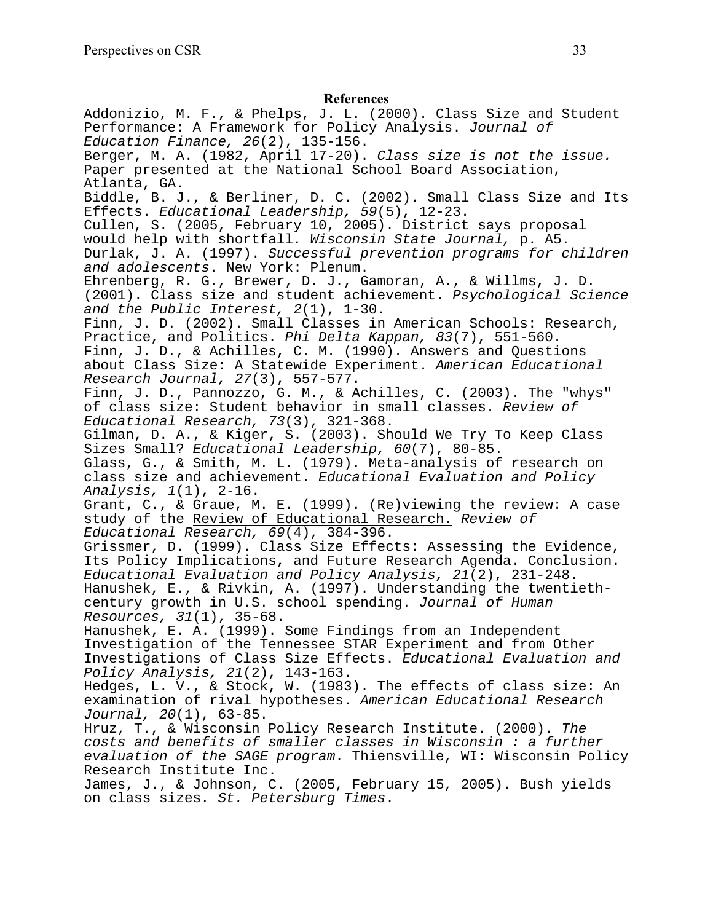#### **References**

Addonizio, M. F., & Phelps, J. L. (2000). Class Size and Student Performance: A Framework for Policy Analysis. Journal of Education Finance, 26(2), 135-156. Berger, M. A. (1982, April 17-20). Class size is not the issue. Paper presented at the National School Board Association, Atlanta, GA. Biddle, B. J., & Berliner, D. C. (2002). Small Class Size and Its Effects. Educational Leadership, 59(5), 12-23. Cullen, S. (2005, February 10, 2005). District says proposal would help with shortfall. Wisconsin State Journal, p. A5. Durlak, J. A. (1997). Successful prevention programs for children and adolescents. New York: Plenum. Ehrenberg, R. G., Brewer, D. J., Gamoran, A., & Willms, J. D. (2001). Class size and student achievement. Psychological Science and the Public Interest, 2(1), 1-30. Finn, J. D. (2002). Small Classes in American Schools: Research, Practice, and Politics. Phi Delta Kappan, 83(7), 551-560. Finn, J. D., & Achilles, C. M. (1990). Answers and Questions about Class Size: A Statewide Experiment. American Educational Research Journal, 27(3), 557-577. Finn, J. D., Pannozzo, G. M., & Achilles, C. (2003). The "whys" of class size: Student behavior in small classes. Review of Educational Research, 73(3), 321-368. Gilman, D. A., & Kiger, S. (2003). Should We Try To Keep Class Sizes Small? Educational Leadership, 60(7), 80-85. Glass, G., & Smith, M. L. (1979). Meta-analysis of research on class size and achievement. Educational Evaluation and Policy Analysis, 1(1), 2-16. Grant, C., & Graue, M. E. (1999). (Re)viewing the review: A case study of the Review of Educational Research. Review of Educational Research, 69(4), 384-396. Grissmer, D. (1999). Class Size Effects: Assessing the Evidence, Its Policy Implications, and Future Research Agenda. Conclusion. Educational Evaluation and Policy Analysis, 21(2), 231-248. Hanushek, E., & Rivkin, A. (1997). Understanding the twentiethcentury growth in U.S. school spending. Journal of Human Resources, 31(1), 35-68. Hanushek, E. A. (1999). Some Findings from an Independent Investigation of the Tennessee STAR Experiment and from Other Investigations of Class Size Effects. Educational Evaluation and Policy Analysis, 21(2), 143-163. Hedges, L. V., & Stock, W. (1983). The effects of class size: An examination of rival hypotheses. American Educational Research Journal, 20(1), 63-85. Hruz, T., & Wisconsin Policy Research Institute. (2000). The costs and benefits of smaller classes in Wisconsin : a further evaluation of the SAGE program. Thiensville, WI: Wisconsin Policy Research Institute Inc. James, J., & Johnson, C. (2005, February 15, 2005). Bush yields on class sizes. St. Petersburg Times.